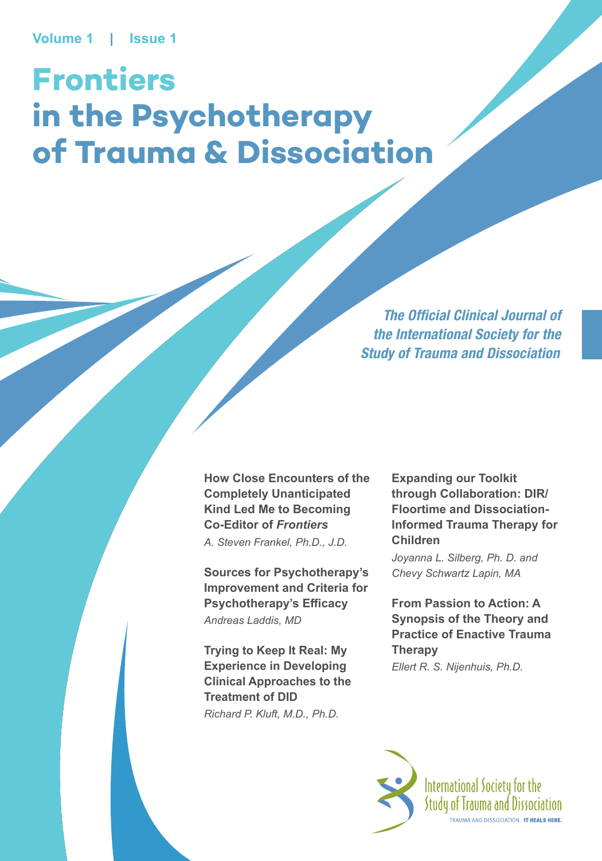# **Frontiers in the Psychotherapy of Trauma & Dissociation**

*The Official Clinical Journal of the International Society for the Study of Trauma and Dissociation*

**How Close Encounters of the Completely Unanticipated Kind Led Me to Becoming Co-Editor of** *Frontiers A. Steven Frankel, Ph.D., J.D.*

**Sources for Psychotherapy's Improvement and Criteria for Psychotherapy's Efficacy** *Andreas Laddis, MD*

**Trying to Keep It Real: My Experience in Developing Clinical Approaches to the Treatment of DID** *Richard P. Kluft, M.D., Ph.D.*

**Expanding our Toolkit through Collaboration: DIR/ Floortime and Dissociation-Informed Trauma Therapy for Children**

*Joyanna L. Silberg, Ph. D. and Chevy Schwartz Lapin, MA*

**From Passion to Action: A Synopsis of the Theory and Practice of Enactive Trauma Therapy** *Ellert R. S. Nijenhuis, Ph.D.*

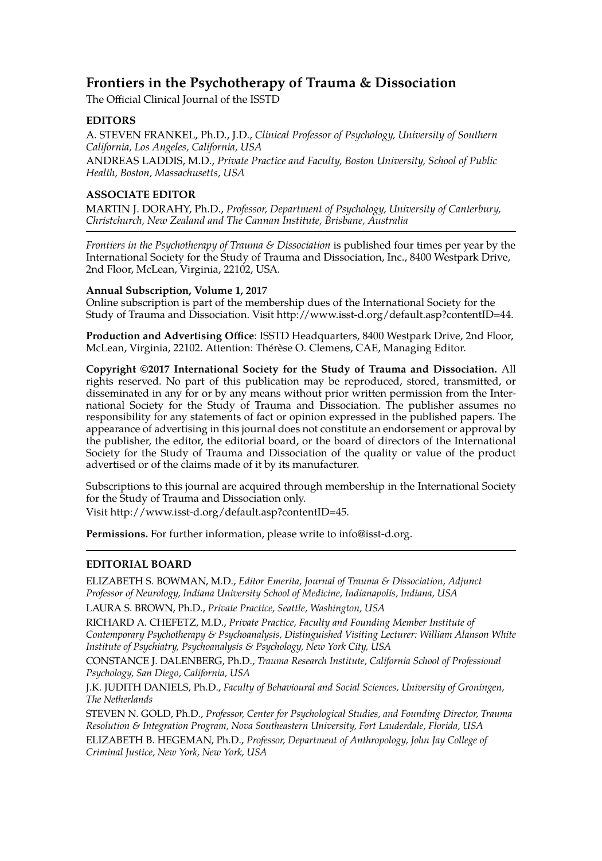# **Frontiers in the Psychotherapy of Trauma & Dissociation**

The Official Clinical Journal of the ISSTD

#### **EDITORS**

A. STEVEN FRANKEL, Ph.D., J.D., *Clinical Professor of Psychology, University of Southern California, Los Angeles, California, USA*

ANDREAS LADDIS, M.D., *Private Practice and Faculty, Boston University, School of Public Health, Boston, Massachusetts, USA*

#### **ASSOCIATE EDITOR**

MARTIN J. DORAHY, Ph.D., *Professor, Department of Psychology, University of Canterbury, Christchurch, New Zealand and The Cannan Institute, Brisbane, Australia*

*Frontiers in the Psychotherapy of Trauma & Dissociation* is published four times per year by the International Society for the Study of Trauma and Dissociation, Inc., 8400 Westpark Drive, 2nd Floor, McLean, Virginia, 22102, USA.

#### **Annual Subscription, Volume 1, 2017**

Online subscription is part of the membership dues of the International Society for the Study of Trauma and Dissociation. Visit [http://www.isst-d.org/default.asp?contentID=44.](http://www.isst-d.org/default.asp?contentID=44)

**Production and Advertising Office**: ISSTD Headquarters, 8400 Westpark Drive, 2nd Floor, McLean, Virginia, 22102. Attention: Thérèse O. Clemens, CAE, Managing Editor.

**Copyright ©2017 International Society for the Study of Trauma and Dissociation.** All rights reserved. No part of this publication may be reproduced, stored, transmitted, or disseminated in any for or by any means without prior written permission from the International Society for the Study of Trauma and Dissociation. The publisher assumes no responsibility for any statements of fact or opinion expressed in the published papers. The appearance of advertising in this journal does not constitute an endorsement or approval by the publisher, the editor, the editorial board, or the board of directors of the International Society for the Study of Trauma and Dissociation of the quality or value of the product advertised or of the claims made of it by its manufacturer.

Subscriptions to this journal are acquired through membership in the International Society for the Study of Trauma and Dissociation only.

Visit [http://www.isst-d.org/default.asp?contentID=45.](http://www.isst-d.org/default.asp?contentID=45)

**Permissions.** For further information, please write to [info@isst-d.org.](mailto:info@isst-d.org)

#### **EDITORIAL BOARD**

ELIZABETH S. BOWMAN, M.D., *Editor Emerita, Journal of Trauma & Dissociation, Adjunct Professor of Neurology, Indiana University School of Medicine, Indianapolis, Indiana, USA*

LAURA S. BROWN, Ph.D., *Private Practice, Seattle, Washington, USA*

RICHARD A. CHEFETZ, M.D., *Private Practice, Faculty and Founding Member Institute of Contemporary Psychotherapy & Psychoanalysis, Distinguished Visiting Lecturer: William Alanson White Institute of Psychiatry, Psychoanalysis & Psychology, New York City, USA*

CONSTANCE J. DALENBERG, Ph.D., *Trauma Research Institute, California School of Professional Psychology, San Diego, California, USA*

J.K. JUDITH DANIELS, Ph.D., *Faculty of Behavioural and Social Sciences, University of Groningen, The Netherlands*

STEVEN N. GOLD, Ph.D., *Professor, Center for Psychological Studies, and Founding Director, Trauma Resolution & Integration Program, Nova Southeastern University, Fort Lauderdale, Florida, USA*

ELIZABETH B. HEGEMAN, Ph.D., *Professor, Department of Anthropology, John Jay College of Criminal Justice, New York, New York, USA*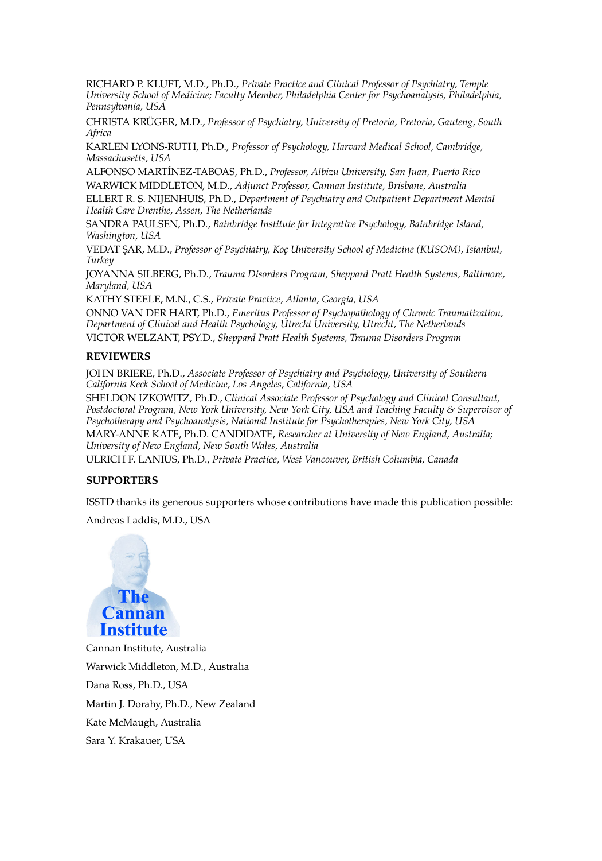RICHARD P. KLUFT, M.D., Ph.D., *Private Practice and Clinical Professor of Psychiatry, Temple University School of Medicine; Faculty Member, Philadelphia Center for Psychoanalysis, Philadelphia, Pennsylvania, USA*

CHRISTA KRÜGER, M.D., *Professor of Psychiatry, University of Pretoria, Pretoria, Gauteng, South Africa*

KARLEN LYONS-RUTH, Ph.D., *Professor of Psychology, Harvard Medical School, Cambridge, Massachusetts, USA*

ALFONSO MARTÍNEZ-TABOAS, Ph.D., *Professor, Albizu University, San Juan, Puerto Rico* WARWICK MIDDLETON, M.D., *Adjunct Professor, Cannan Institute, Brisbane, Australia*

ELLERT R. S. NIJENHUIS, Ph.D., *Department of Psychiatry and Outpatient Department Mental Health Care Drenthe, Assen, The Netherlands*

SANDRA PAULSEN, Ph.D., *Bainbridge Institute for Integrative Psychology, Bainbridge Island, Washington, USA*

VEDAT ŞAR, M.D., *Professor of Psychiatry, Koç University School of Medicine (KUSOM), Istanbul, Turkey*

JOYANNA SILBERG, Ph.D., *Trauma Disorders Program, Sheppard Pratt Health Systems, Baltimore, Maryland, USA*

KATHY STEELE, M.N., C.S., *Private Practice, Atlanta, Georgia, USA*

ONNO VAN DER HART, Ph.D., *Emeritus Professor of Psychopathology of Chronic Traumatization, Department of Clinical and Health Psychology, Utrecht University, Utrecht, The Netherlands*

VICTOR WELZANT, PSY.D., *Sheppard Pratt Health Systems, Trauma Disorders Program*

#### **REVIEWERS**

JOHN BRIERE, Ph.D., *Associate Professor of Psychiatry and Psychology, University of Southern California Keck School of Medicine, Los Angeles, California, USA*

SHELDON IZKOWITZ, Ph.D., *Clinical Associate Professor of Psychology and Clinical Consultant, Postdoctoral Program, New York University, New York City, USA and Teaching Faculty & Supervisor of Psychotherapy and Psychoanalysis, National Institute for Psychotherapies, New York City, USA*

MARY-ANNE KATE, Ph.D. CANDIDATE, *Researcher at University of New England, Australia; University of New England, New South Wales, Australia*

ULRICH F. LANIUS, Ph.D., *Private Practice, West Vancouver, British Columbia, Canada*

#### **SUPPORTERS**

ISSTD thanks its generous supporters whose contributions have made this publication possible:

Andreas Laddis, M.D., USA



Cannan Institute, Australia Warwick Middleton, M.D., Australia Dana Ross, Ph.D., USA Martin J. Dorahy, Ph.D., New Zealand Kate McMaugh, Australia Sara Y. Krakauer, USA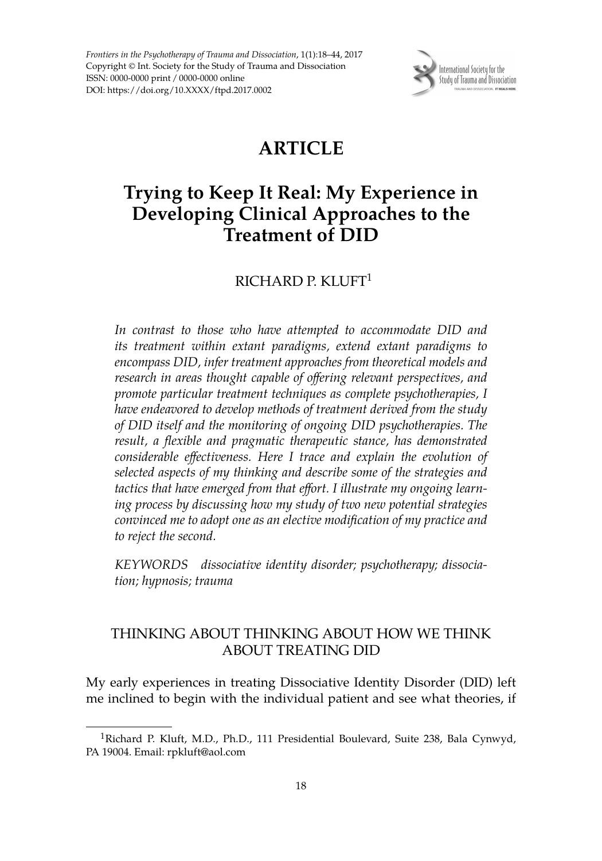*Frontiers in the Psychotherapy of Trauma and Dissociation*, 1(1):18–44, 2017 Copyright © Int. Society for the Study of Trauma and Dissociation ISSN: 0000-0000 print / 0000-0000 online DOI: https://doi.org/10.XXXX/ftpd.2017.0002



# **ARTICLE**

# **Trying to Keep It Real: My Experience in Developing Clinical Approaches to the Treatment of DID**

# RICHARD P. KLUFT<sup>1</sup>

*In contrast to those who have attempted to accommodate DID and its treatment within extant paradigms, extend extant paradigms to encompass DID, infer treatment approaches from theoretical models and research in areas thought capable of offering relevant perspectives, and promote particular treatment techniques as complete psychotherapies, I have endeavored to develop methods of treatment derived from the study of DID itself and the monitoring of ongoing DID psychotherapies. The result, a flexible and pragmatic therapeutic stance, has demonstrated considerable effectiveness. Here I trace and explain the evolution of selected aspects of my thinking and describe some of the strategies and tactics that have emerged from that effort. I illustrate my ongoing learning process by discussing how my study of two new potential strategies convinced me to adopt one as an elective modification of my practice and to reject the second.*

*KEYWORDS dissociative identity disorder; psychotherapy; dissociation; hypnosis; trauma*

# THINKING ABOUT THINKING ABOUT HOW WE THINK ABOUT TREATING DID

My early experiences in treating Dissociative Identity Disorder (DID) left me inclined to begin with the individual patient and see what theories, if

<sup>&</sup>lt;sup>1</sup>Richard P. Kluft, M.D., Ph.D., 111 Presidential Boulevard, Suite 238, Bala Cynwyd, PA 19004. Email: rpkluft@aol.com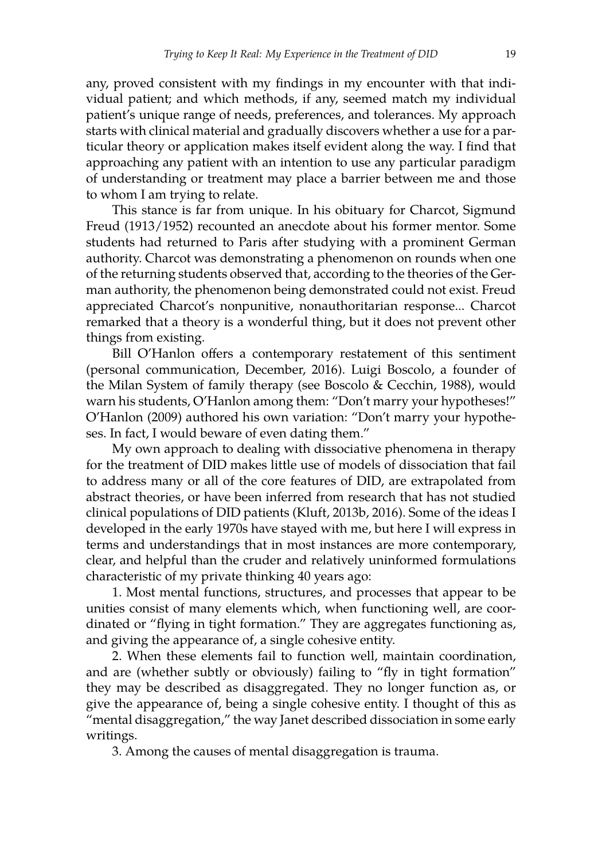any, proved consistent with my findings in my encounter with that individual patient; and which methods, if any, seemed match my individual patient's unique range of needs, preferences, and tolerances. My approach starts with clinical material and gradually discovers whether a use for a particular theory or application makes itself evident along the way. I find that approaching any patient with an intention to use any particular paradigm of understanding or treatment may place a barrier between me and those to whom I am trying to relate.

This stance is far from unique. In his obituary for Charcot, Sigmund Freud (1913/1952) recounted an anecdote about his former mentor. Some students had returned to Paris after studying with a prominent German authority. Charcot was demonstrating a phenomenon on rounds when one of the returning students observed that, according to the theories of the German authority, the phenomenon being demonstrated could not exist. Freud appreciated Charcot's nonpunitive, nonauthoritarian response... Charcot remarked that a theory is a wonderful thing, but it does not prevent other things from existing.

Bill O'Hanlon offers a contemporary restatement of this sentiment (personal communication, December, 2016). Luigi Boscolo, a founder of the Milan System of family therapy (see Boscolo & Cecchin, 1988), would warn his students, O'Hanlon among them: "Don't marry your hypotheses!" O'Hanlon (2009) authored his own variation: "Don't marry your hypotheses. In fact, I would beware of even dating them."

My own approach to dealing with dissociative phenomena in therapy for the treatment of DID makes little use of models of dissociation that fail to address many or all of the core features of DID, are extrapolated from abstract theories, or have been inferred from research that has not studied clinical populations of DID patients (Kluft, 2013b, 2016). Some of the ideas I developed in the early 1970s have stayed with me, but here I will express in terms and understandings that in most instances are more contemporary, clear, and helpful than the cruder and relatively uninformed formulations characteristic of my private thinking 40 years ago:

1. Most mental functions, structures, and processes that appear to be unities consist of many elements which, when functioning well, are coordinated or "flying in tight formation." They are aggregates functioning as, and giving the appearance of, a single cohesive entity.

2. When these elements fail to function well, maintain coordination, and are (whether subtly or obviously) failing to "fly in tight formation" they may be described as disaggregated. They no longer function as, or give the appearance of, being a single cohesive entity. I thought of this as "mental disaggregation," the way Janet described dissociation in some early writings.

3. Among the causes of mental disaggregation is trauma.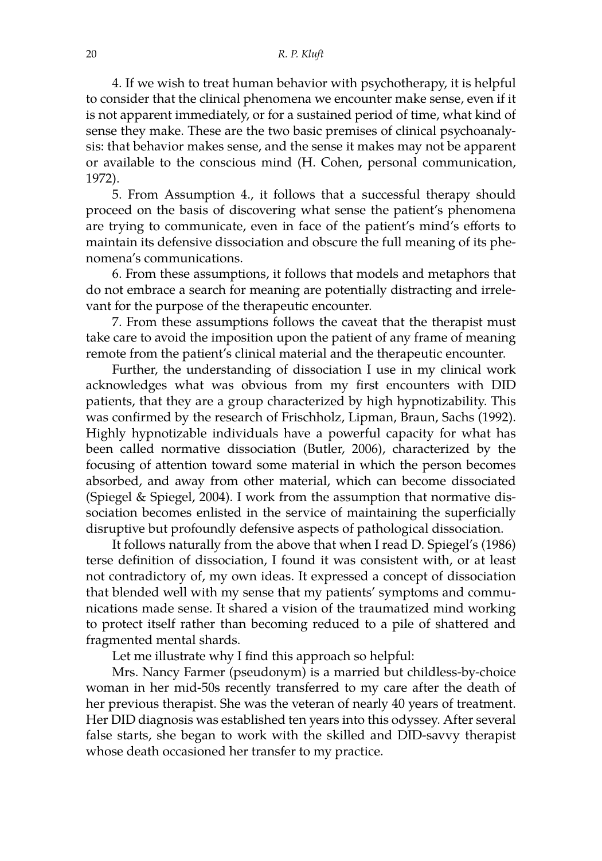#### 20 *R. P. Kluft*

4. If we wish to treat human behavior with psychotherapy, it is helpful to consider that the clinical phenomena we encounter make sense, even if it is not apparent immediately, or for a sustained period of time, what kind of sense they make. These are the two basic premises of clinical psychoanalysis: that behavior makes sense, and the sense it makes may not be apparent or available to the conscious mind (H. Cohen, personal communication, 1972).

5. From Assumption 4., it follows that a successful therapy should proceed on the basis of discovering what sense the patient's phenomena are trying to communicate, even in face of the patient's mind's efforts to maintain its defensive dissociation and obscure the full meaning of its phenomena's communications.

6. From these assumptions, it follows that models and metaphors that do not embrace a search for meaning are potentially distracting and irrelevant for the purpose of the therapeutic encounter.

7. From these assumptions follows the caveat that the therapist must take care to avoid the imposition upon the patient of any frame of meaning remote from the patient's clinical material and the therapeutic encounter.

Further, the understanding of dissociation I use in my clinical work acknowledges what was obvious from my first encounters with DID patients, that they are a group characterized by high hypnotizability. This was confirmed by the research of Frischholz, Lipman, Braun, Sachs (1992). Highly hypnotizable individuals have a powerful capacity for what has been called normative dissociation (Butler, 2006), characterized by the focusing of attention toward some material in which the person becomes absorbed, and away from other material, which can become dissociated (Spiegel & Spiegel, 2004). I work from the assumption that normative dissociation becomes enlisted in the service of maintaining the superficially disruptive but profoundly defensive aspects of pathological dissociation.

It follows naturally from the above that when I read D. Spiegel's (1986) terse definition of dissociation, I found it was consistent with, or at least not contradictory of, my own ideas. It expressed a concept of dissociation that blended well with my sense that my patients' symptoms and communications made sense. It shared a vision of the traumatized mind working to protect itself rather than becoming reduced to a pile of shattered and fragmented mental shards.

Let me illustrate why I find this approach so helpful:

Mrs. Nancy Farmer (pseudonym) is a married but childless-by-choice woman in her mid-50s recently transferred to my care after the death of her previous therapist. She was the veteran of nearly 40 years of treatment. Her DID diagnosis was established ten years into this odyssey. After several false starts, she began to work with the skilled and DID-savvy therapist whose death occasioned her transfer to my practice.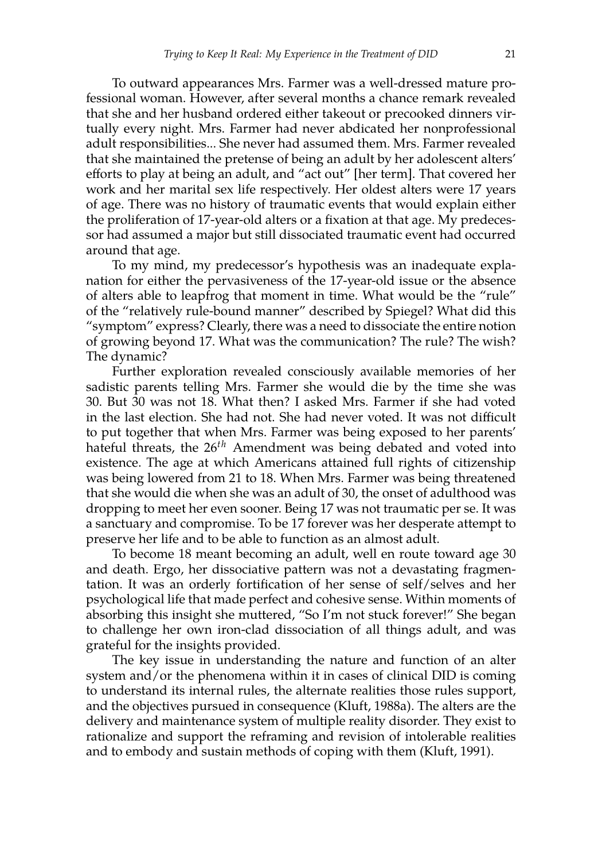To outward appearances Mrs. Farmer was a well-dressed mature professional woman. However, after several months a chance remark revealed that she and her husband ordered either takeout or precooked dinners virtually every night. Mrs. Farmer had never abdicated her nonprofessional adult responsibilities... She never had assumed them. Mrs. Farmer revealed that she maintained the pretense of being an adult by her adolescent alters' efforts to play at being an adult, and "act out" [her term]. That covered her work and her marital sex life respectively. Her oldest alters were 17 years of age. There was no history of traumatic events that would explain either the proliferation of 17-year-old alters or a fixation at that age. My predecessor had assumed a major but still dissociated traumatic event had occurred around that age.

To my mind, my predecessor's hypothesis was an inadequate explanation for either the pervasiveness of the 17-year-old issue or the absence of alters able to leapfrog that moment in time. What would be the "rule" of the "relatively rule-bound manner" described by Spiegel? What did this "symptom" express? Clearly, there was a need to dissociate the entire notion of growing beyond 17. What was the communication? The rule? The wish? The dynamic?

Further exploration revealed consciously available memories of her sadistic parents telling Mrs. Farmer she would die by the time she was 30. But 30 was not 18. What then? I asked Mrs. Farmer if she had voted in the last election. She had not. She had never voted. It was not difficult to put together that when Mrs. Farmer was being exposed to her parents' hateful threats, the 26*th* Amendment was being debated and voted into existence. The age at which Americans attained full rights of citizenship was being lowered from 21 to 18. When Mrs. Farmer was being threatened that she would die when she was an adult of 30, the onset of adulthood was dropping to meet her even sooner. Being 17 was not traumatic per se. It was a sanctuary and compromise. To be 17 forever was her desperate attempt to preserve her life and to be able to function as an almost adult.

To become 18 meant becoming an adult, well en route toward age 30 and death. Ergo, her dissociative pattern was not a devastating fragmentation. It was an orderly fortification of her sense of self/selves and her psychological life that made perfect and cohesive sense. Within moments of absorbing this insight she muttered, "So I'm not stuck forever!" She began to challenge her own iron-clad dissociation of all things adult, and was grateful for the insights provided.

The key issue in understanding the nature and function of an alter system and/or the phenomena within it in cases of clinical DID is coming to understand its internal rules, the alternate realities those rules support, and the objectives pursued in consequence (Kluft, 1988a). The alters are the delivery and maintenance system of multiple reality disorder. They exist to rationalize and support the reframing and revision of intolerable realities and to embody and sustain methods of coping with them (Kluft, 1991).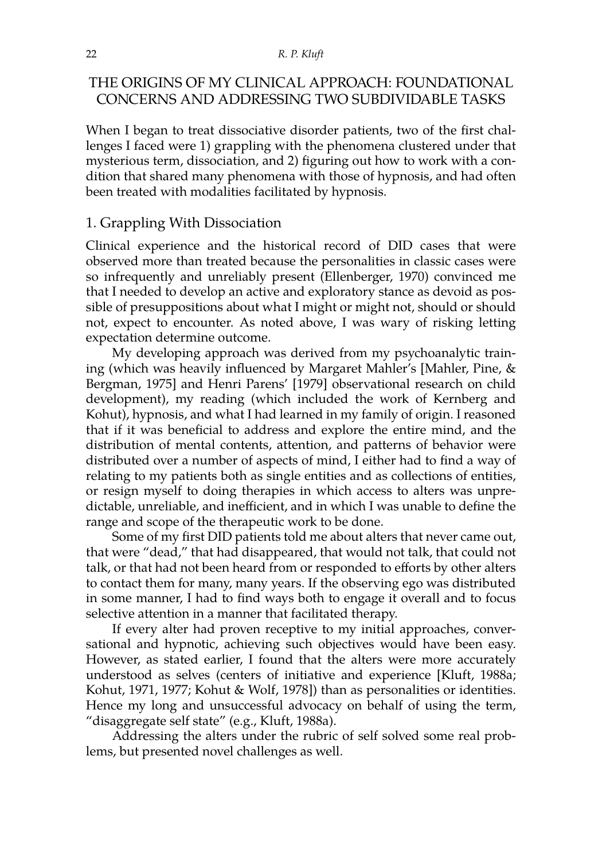#### 22 *R. P. Kluft*

# THE ORIGINS OF MY CLINICAL APPROACH: FOUNDATIONAL CONCERNS AND ADDRESSING TWO SUBDIVIDABLE TASKS

When I began to treat dissociative disorder patients, two of the first challenges I faced were 1) grappling with the phenomena clustered under that mysterious term, dissociation, and 2) figuring out how to work with a condition that shared many phenomena with those of hypnosis, and had often been treated with modalities facilitated by hypnosis.

#### 1. Grappling With Dissociation

Clinical experience and the historical record of DID cases that were observed more than treated because the personalities in classic cases were so infrequently and unreliably present (Ellenberger, 1970) convinced me that I needed to develop an active and exploratory stance as devoid as possible of presuppositions about what I might or might not, should or should not, expect to encounter. As noted above, I was wary of risking letting expectation determine outcome.

My developing approach was derived from my psychoanalytic training (which was heavily influenced by Margaret Mahler's [Mahler, Pine, & Bergman, 1975] and Henri Parens' [1979] observational research on child development), my reading (which included the work of Kernberg and Kohut), hypnosis, and what I had learned in my family of origin. I reasoned that if it was beneficial to address and explore the entire mind, and the distribution of mental contents, attention, and patterns of behavior were distributed over a number of aspects of mind, I either had to find a way of relating to my patients both as single entities and as collections of entities, or resign myself to doing therapies in which access to alters was unpredictable, unreliable, and inefficient, and in which I was unable to define the range and scope of the therapeutic work to be done.

Some of my first DID patients told me about alters that never came out, that were "dead," that had disappeared, that would not talk, that could not talk, or that had not been heard from or responded to efforts by other alters to contact them for many, many years. If the observing ego was distributed in some manner, I had to find ways both to engage it overall and to focus selective attention in a manner that facilitated therapy.

If every alter had proven receptive to my initial approaches, conversational and hypnotic, achieving such objectives would have been easy. However, as stated earlier, I found that the alters were more accurately understood as selves (centers of initiative and experience [Kluft, 1988a; Kohut, 1971, 1977; Kohut & Wolf, 1978]) than as personalities or identities. Hence my long and unsuccessful advocacy on behalf of using the term, "disaggregate self state" (e.g., Kluft, 1988a).

Addressing the alters under the rubric of self solved some real problems, but presented novel challenges as well.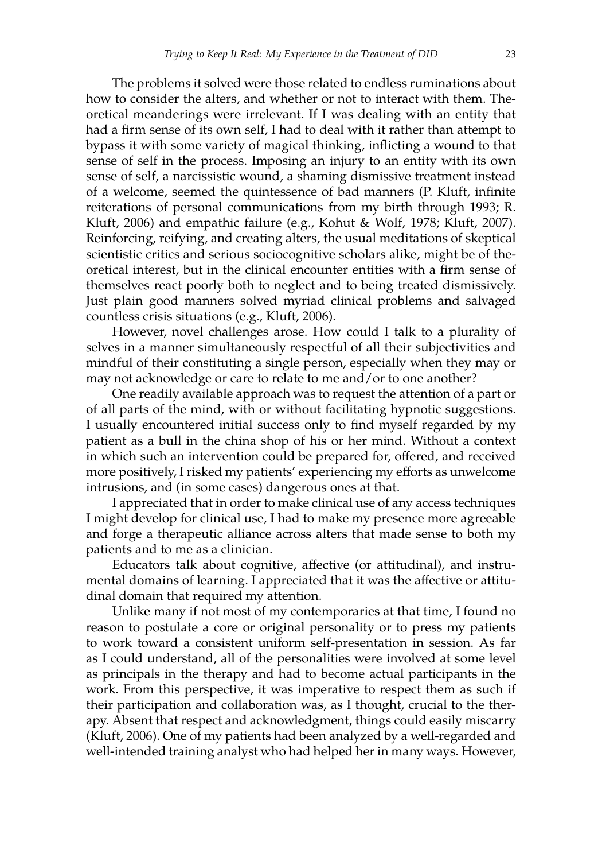The problems it solved were those related to endless ruminations about how to consider the alters, and whether or not to interact with them. Theoretical meanderings were irrelevant. If I was dealing with an entity that had a firm sense of its own self, I had to deal with it rather than attempt to bypass it with some variety of magical thinking, inflicting a wound to that sense of self in the process. Imposing an injury to an entity with its own sense of self, a narcissistic wound, a shaming dismissive treatment instead of a welcome, seemed the quintessence of bad manners (P. Kluft, infinite reiterations of personal communications from my birth through 1993; R. Kluft, 2006) and empathic failure (e.g., Kohut & Wolf, 1978; Kluft, 2007). Reinforcing, reifying, and creating alters, the usual meditations of skeptical scientistic critics and serious sociocognitive scholars alike, might be of theoretical interest, but in the clinical encounter entities with a firm sense of themselves react poorly both to neglect and to being treated dismissively. Just plain good manners solved myriad clinical problems and salvaged countless crisis situations (e.g., Kluft, 2006).

However, novel challenges arose. How could I talk to a plurality of selves in a manner simultaneously respectful of all their subjectivities and mindful of their constituting a single person, especially when they may or may not acknowledge or care to relate to me and/or to one another?

One readily available approach was to request the attention of a part or of all parts of the mind, with or without facilitating hypnotic suggestions. I usually encountered initial success only to find myself regarded by my patient as a bull in the china shop of his or her mind. Without a context in which such an intervention could be prepared for, offered, and received more positively, I risked my patients' experiencing my efforts as unwelcome intrusions, and (in some cases) dangerous ones at that.

I appreciated that in order to make clinical use of any access techniques I might develop for clinical use, I had to make my presence more agreeable and forge a therapeutic alliance across alters that made sense to both my patients and to me as a clinician.

Educators talk about cognitive, affective (or attitudinal), and instrumental domains of learning. I appreciated that it was the affective or attitudinal domain that required my attention.

Unlike many if not most of my contemporaries at that time, I found no reason to postulate a core or original personality or to press my patients to work toward a consistent uniform self-presentation in session. As far as I could understand, all of the personalities were involved at some level as principals in the therapy and had to become actual participants in the work. From this perspective, it was imperative to respect them as such if their participation and collaboration was, as I thought, crucial to the therapy. Absent that respect and acknowledgment, things could easily miscarry (Kluft, 2006). One of my patients had been analyzed by a well-regarded and well-intended training analyst who had helped her in many ways. However,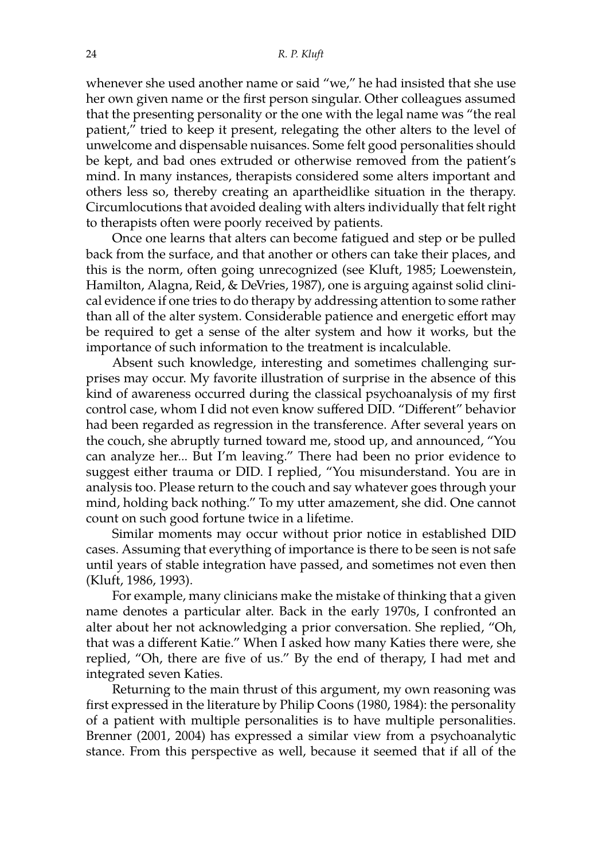whenever she used another name or said "we," he had insisted that she use her own given name or the first person singular. Other colleagues assumed that the presenting personality or the one with the legal name was "the real patient," tried to keep it present, relegating the other alters to the level of unwelcome and dispensable nuisances. Some felt good personalities should be kept, and bad ones extruded or otherwise removed from the patient's mind. In many instances, therapists considered some alters important and others less so, thereby creating an apartheidlike situation in the therapy. Circumlocutions that avoided dealing with alters individually that felt right to therapists often were poorly received by patients.

Once one learns that alters can become fatigued and step or be pulled back from the surface, and that another or others can take their places, and this is the norm, often going unrecognized (see Kluft, 1985; Loewenstein, Hamilton, Alagna, Reid, & DeVries, 1987), one is arguing against solid clinical evidence if one tries to do therapy by addressing attention to some rather than all of the alter system. Considerable patience and energetic effort may be required to get a sense of the alter system and how it works, but the importance of such information to the treatment is incalculable.

Absent such knowledge, interesting and sometimes challenging surprises may occur. My favorite illustration of surprise in the absence of this kind of awareness occurred during the classical psychoanalysis of my first control case, whom I did not even know suffered DID. "Different" behavior had been regarded as regression in the transference. After several years on the couch, she abruptly turned toward me, stood up, and announced, "You can analyze her... But I'm leaving." There had been no prior evidence to suggest either trauma or DID. I replied, "You misunderstand. You are in analysis too. Please return to the couch and say whatever goes through your mind, holding back nothing." To my utter amazement, she did. One cannot count on such good fortune twice in a lifetime.

Similar moments may occur without prior notice in established DID cases. Assuming that everything of importance is there to be seen is not safe until years of stable integration have passed, and sometimes not even then (Kluft, 1986, 1993).

For example, many clinicians make the mistake of thinking that a given name denotes a particular alter. Back in the early 1970s, I confronted an alter about her not acknowledging a prior conversation. She replied, "Oh, that was a different Katie." When I asked how many Katies there were, she replied, "Oh, there are five of us." By the end of therapy, I had met and integrated seven Katies.

Returning to the main thrust of this argument, my own reasoning was first expressed in the literature by Philip Coons (1980, 1984): the personality of a patient with multiple personalities is to have multiple personalities. Brenner (2001, 2004) has expressed a similar view from a psychoanalytic stance. From this perspective as well, because it seemed that if all of the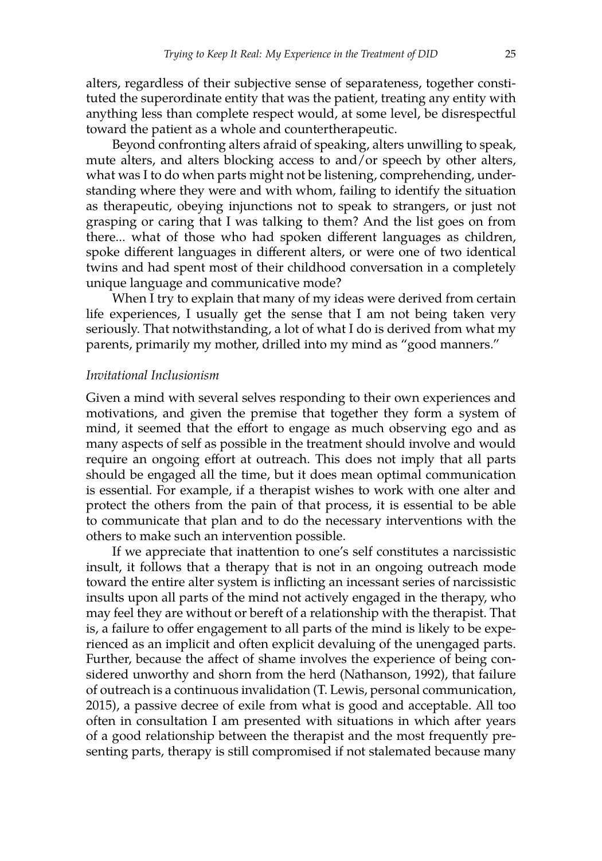alters, regardless of their subjective sense of separateness, together constituted the superordinate entity that was the patient, treating any entity with anything less than complete respect would, at some level, be disrespectful toward the patient as a whole and countertherapeutic.

Beyond confronting alters afraid of speaking, alters unwilling to speak, mute alters, and alters blocking access to and/or speech by other alters, what was I to do when parts might not be listening, comprehending, understanding where they were and with whom, failing to identify the situation as therapeutic, obeying injunctions not to speak to strangers, or just not grasping or caring that I was talking to them? And the list goes on from there... what of those who had spoken different languages as children, spoke different languages in different alters, or were one of two identical twins and had spent most of their childhood conversation in a completely unique language and communicative mode?

When I try to explain that many of my ideas were derived from certain life experiences, I usually get the sense that I am not being taken very seriously. That notwithstanding, a lot of what I do is derived from what my parents, primarily my mother, drilled into my mind as "good manners."

#### *Invitational Inclusionism*

Given a mind with several selves responding to their own experiences and motivations, and given the premise that together they form a system of mind, it seemed that the effort to engage as much observing ego and as many aspects of self as possible in the treatment should involve and would require an ongoing effort at outreach. This does not imply that all parts should be engaged all the time, but it does mean optimal communication is essential. For example, if a therapist wishes to work with one alter and protect the others from the pain of that process, it is essential to be able to communicate that plan and to do the necessary interventions with the others to make such an intervention possible.

If we appreciate that inattention to one's self constitutes a narcissistic insult, it follows that a therapy that is not in an ongoing outreach mode toward the entire alter system is inflicting an incessant series of narcissistic insults upon all parts of the mind not actively engaged in the therapy, who may feel they are without or bereft of a relationship with the therapist. That is, a failure to offer engagement to all parts of the mind is likely to be experienced as an implicit and often explicit devaluing of the unengaged parts. Further, because the affect of shame involves the experience of being considered unworthy and shorn from the herd (Nathanson, 1992), that failure of outreach is a continuous invalidation (T. Lewis, personal communication, 2015), a passive decree of exile from what is good and acceptable. All too often in consultation I am presented with situations in which after years of a good relationship between the therapist and the most frequently presenting parts, therapy is still compromised if not stalemated because many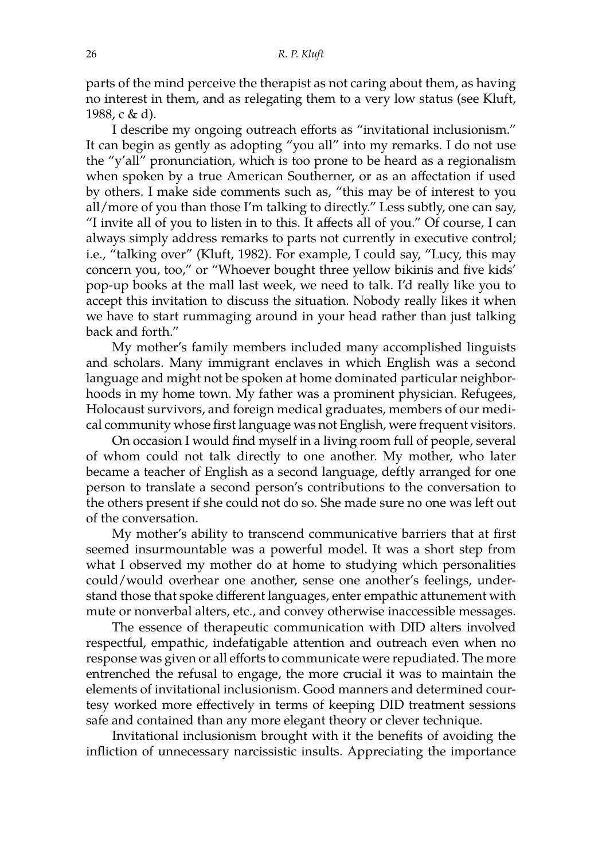parts of the mind perceive the therapist as not caring about them, as having no interest in them, and as relegating them to a very low status (see Kluft, 1988, c & d).

I describe my ongoing outreach efforts as "invitational inclusionism." It can begin as gently as adopting "you all" into my remarks. I do not use the "y'all" pronunciation, which is too prone to be heard as a regionalism when spoken by a true American Southerner, or as an affectation if used by others. I make side comments such as, "this may be of interest to you all/more of you than those I'm talking to directly." Less subtly, one can say, "I invite all of you to listen in to this. It affects all of you." Of course, I can always simply address remarks to parts not currently in executive control; i.e., "talking over" (Kluft, 1982). For example, I could say, "Lucy, this may concern you, too," or "Whoever bought three yellow bikinis and five kids' pop-up books at the mall last week, we need to talk. I'd really like you to accept this invitation to discuss the situation. Nobody really likes it when we have to start rummaging around in your head rather than just talking back and forth."

My mother's family members included many accomplished linguists and scholars. Many immigrant enclaves in which English was a second language and might not be spoken at home dominated particular neighborhoods in my home town. My father was a prominent physician. Refugees, Holocaust survivors, and foreign medical graduates, members of our medical community whose first language was not English, were frequent visitors.

On occasion I would find myself in a living room full of people, several of whom could not talk directly to one another. My mother, who later became a teacher of English as a second language, deftly arranged for one person to translate a second person's contributions to the conversation to the others present if she could not do so. She made sure no one was left out of the conversation.

My mother's ability to transcend communicative barriers that at first seemed insurmountable was a powerful model. It was a short step from what I observed my mother do at home to studying which personalities could/would overhear one another, sense one another's feelings, understand those that spoke different languages, enter empathic attunement with mute or nonverbal alters, etc., and convey otherwise inaccessible messages.

The essence of therapeutic communication with DID alters involved respectful, empathic, indefatigable attention and outreach even when no response was given or all efforts to communicate were repudiated. The more entrenched the refusal to engage, the more crucial it was to maintain the elements of invitational inclusionism. Good manners and determined courtesy worked more effectively in terms of keeping DID treatment sessions safe and contained than any more elegant theory or clever technique.

Invitational inclusionism brought with it the benefits of avoiding the infliction of unnecessary narcissistic insults. Appreciating the importance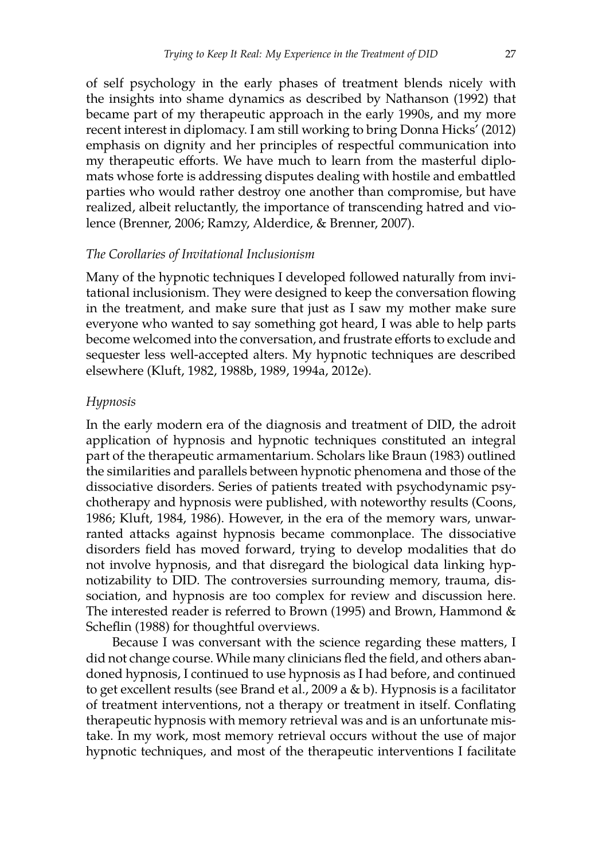of self psychology in the early phases of treatment blends nicely with the insights into shame dynamics as described by Nathanson (1992) that became part of my therapeutic approach in the early 1990s, and my more recent interest in diplomacy. I am still working to bring Donna Hicks' (2012) emphasis on dignity and her principles of respectful communication into my therapeutic efforts. We have much to learn from the masterful diplomats whose forte is addressing disputes dealing with hostile and embattled parties who would rather destroy one another than compromise, but have realized, albeit reluctantly, the importance of transcending hatred and violence (Brenner, 2006; Ramzy, Alderdice, & Brenner, 2007).

#### *The Corollaries of Invitational Inclusionism*

Many of the hypnotic techniques I developed followed naturally from invitational inclusionism. They were designed to keep the conversation flowing in the treatment, and make sure that just as I saw my mother make sure everyone who wanted to say something got heard, I was able to help parts become welcomed into the conversation, and frustrate efforts to exclude and sequester less well-accepted alters. My hypnotic techniques are described elsewhere (Kluft, 1982, 1988b, 1989, 1994a, 2012e).

#### *Hypnosis*

In the early modern era of the diagnosis and treatment of DID, the adroit application of hypnosis and hypnotic techniques constituted an integral part of the therapeutic armamentarium. Scholars like Braun (1983) outlined the similarities and parallels between hypnotic phenomena and those of the dissociative disorders. Series of patients treated with psychodynamic psychotherapy and hypnosis were published, with noteworthy results (Coons, 1986; Kluft, 1984, 1986). However, in the era of the memory wars, unwarranted attacks against hypnosis became commonplace. The dissociative disorders field has moved forward, trying to develop modalities that do not involve hypnosis, and that disregard the biological data linking hypnotizability to DID. The controversies surrounding memory, trauma, dissociation, and hypnosis are too complex for review and discussion here. The interested reader is referred to Brown (1995) and Brown, Hammond  $\&$ Scheflin (1988) for thoughtful overviews.

Because I was conversant with the science regarding these matters, I did not change course. While many clinicians fled the field, and others abandoned hypnosis, I continued to use hypnosis as I had before, and continued to get excellent results (see Brand et al., 2009 a & b). Hypnosis is a facilitator of treatment interventions, not a therapy or treatment in itself. Conflating therapeutic hypnosis with memory retrieval was and is an unfortunate mistake. In my work, most memory retrieval occurs without the use of major hypnotic techniques, and most of the therapeutic interventions I facilitate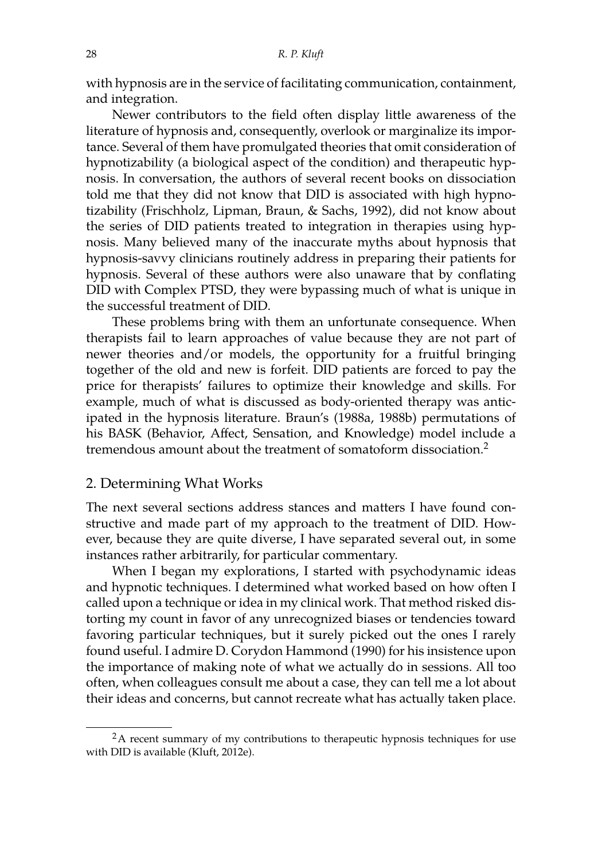with hypnosis are in the service of facilitating communication, containment, and integration.

Newer contributors to the field often display little awareness of the literature of hypnosis and, consequently, overlook or marginalize its importance. Several of them have promulgated theories that omit consideration of hypnotizability (a biological aspect of the condition) and therapeutic hypnosis. In conversation, the authors of several recent books on dissociation told me that they did not know that DID is associated with high hypnotizability (Frischholz, Lipman, Braun, & Sachs, 1992), did not know about the series of DID patients treated to integration in therapies using hypnosis. Many believed many of the inaccurate myths about hypnosis that hypnosis-savvy clinicians routinely address in preparing their patients for hypnosis. Several of these authors were also unaware that by conflating DID with Complex PTSD, they were bypassing much of what is unique in the successful treatment of DID.

These problems bring with them an unfortunate consequence. When therapists fail to learn approaches of value because they are not part of newer theories and/or models, the opportunity for a fruitful bringing together of the old and new is forfeit. DID patients are forced to pay the price for therapists' failures to optimize their knowledge and skills. For example, much of what is discussed as body-oriented therapy was anticipated in the hypnosis literature. Braun's (1988a, 1988b) permutations of his BASK (Behavior, Affect, Sensation, and Knowledge) model include a tremendous amount about the treatment of somatoform dissociation.<sup>[2](#page-13-0)</sup>

#### 2. Determining What Works

The next several sections address stances and matters I have found constructive and made part of my approach to the treatment of DID. However, because they are quite diverse, I have separated several out, in some instances rather arbitrarily, for particular commentary.

When I began my explorations, I started with psychodynamic ideas and hypnotic techniques. I determined what worked based on how often I called upon a technique or idea in my clinical work. That method risked distorting my count in favor of any unrecognized biases or tendencies toward favoring particular techniques, but it surely picked out the ones I rarely found useful. I admire D. Corydon Hammond (1990) for his insistence upon the importance of making note of what we actually do in sessions. All too often, when colleagues consult me about a case, they can tell me a lot about their ideas and concerns, but cannot recreate what has actually taken place.

<span id="page-13-0"></span><sup>&</sup>lt;sup>2</sup>A recent summary of my contributions to therapeutic hypnosis techniques for use with DID is available (Kluft, 2012e).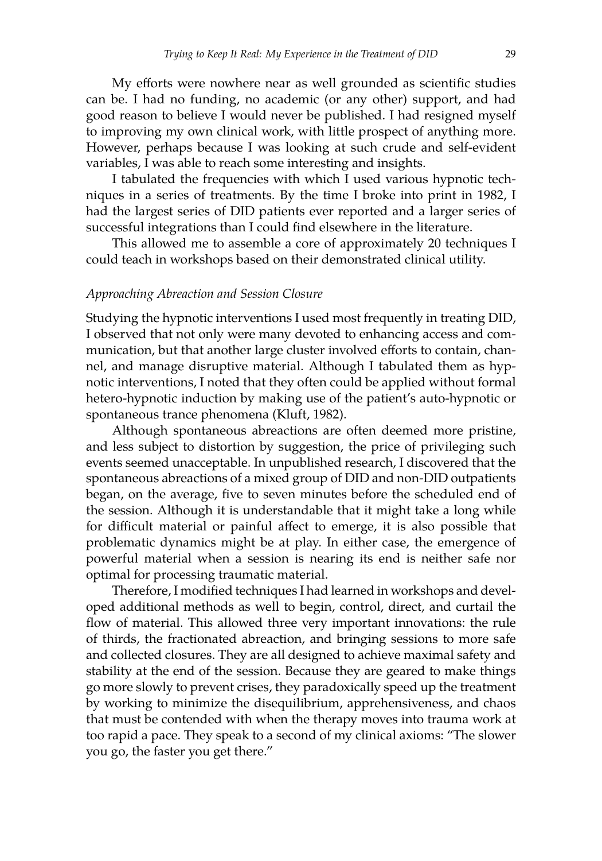My efforts were nowhere near as well grounded as scientific studies can be. I had no funding, no academic (or any other) support, and had good reason to believe I would never be published. I had resigned myself to improving my own clinical work, with little prospect of anything more. However, perhaps because I was looking at such crude and self-evident variables, I was able to reach some interesting and insights.

I tabulated the frequencies with which I used various hypnotic techniques in a series of treatments. By the time I broke into print in 1982, I had the largest series of DID patients ever reported and a larger series of successful integrations than I could find elsewhere in the literature.

This allowed me to assemble a core of approximately 20 techniques I could teach in workshops based on their demonstrated clinical utility.

#### *Approaching Abreaction and Session Closure*

Studying the hypnotic interventions I used most frequently in treating DID, I observed that not only were many devoted to enhancing access and communication, but that another large cluster involved efforts to contain, channel, and manage disruptive material. Although I tabulated them as hypnotic interventions, I noted that they often could be applied without formal hetero-hypnotic induction by making use of the patient's auto-hypnotic or spontaneous trance phenomena (Kluft, 1982).

Although spontaneous abreactions are often deemed more pristine, and less subject to distortion by suggestion, the price of privileging such events seemed unacceptable. In unpublished research, I discovered that the spontaneous abreactions of a mixed group of DID and non-DID outpatients began, on the average, five to seven minutes before the scheduled end of the session. Although it is understandable that it might take a long while for difficult material or painful affect to emerge, it is also possible that problematic dynamics might be at play. In either case, the emergence of powerful material when a session is nearing its end is neither safe nor optimal for processing traumatic material.

Therefore, I modified techniques I had learned in workshops and developed additional methods as well to begin, control, direct, and curtail the flow of material. This allowed three very important innovations: the rule of thirds, the fractionated abreaction, and bringing sessions to more safe and collected closures. They are all designed to achieve maximal safety and stability at the end of the session. Because they are geared to make things go more slowly to prevent crises, they paradoxically speed up the treatment by working to minimize the disequilibrium, apprehensiveness, and chaos that must be contended with when the therapy moves into trauma work at too rapid a pace. They speak to a second of my clinical axioms: "The slower you go, the faster you get there."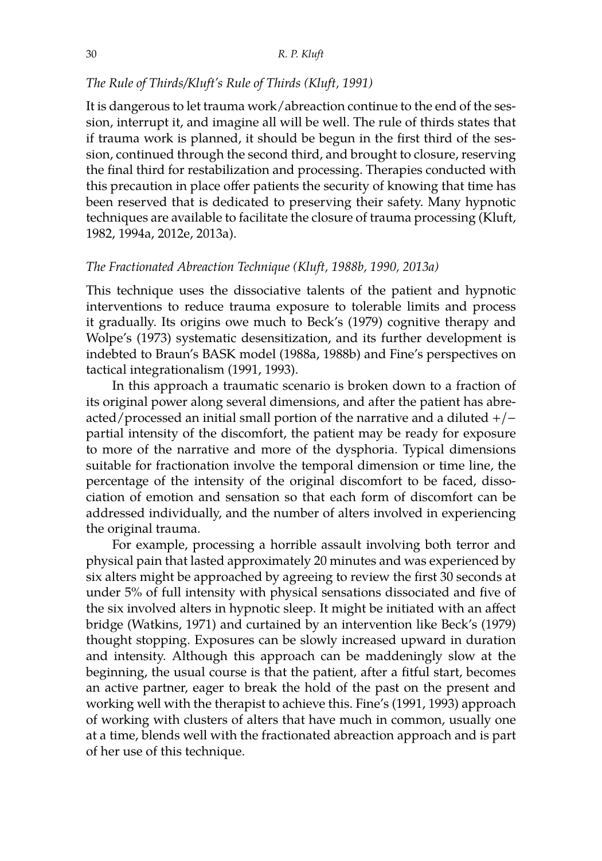## *The Rule of Thirds/Kluft's Rule of Thirds (Kluft, 1991)*

It is dangerous to let trauma work/abreaction continue to the end of the session, interrupt it, and imagine all will be well. The rule of thirds states that if trauma work is planned, it should be begun in the first third of the session, continued through the second third, and brought to closure, reserving the final third for restabilization and processing. Therapies conducted with this precaution in place offer patients the security of knowing that time has been reserved that is dedicated to preserving their safety. Many hypnotic techniques are available to facilitate the closure of trauma processing (Kluft, 1982, 1994a, 2012e, 2013a).

#### *The Fractionated Abreaction Technique (Kluft, 1988b, 1990, 2013a)*

This technique uses the dissociative talents of the patient and hypnotic interventions to reduce trauma exposure to tolerable limits and process it gradually. Its origins owe much to Beck's (1979) cognitive therapy and Wolpe's (1973) systematic desensitization, and its further development is indebted to Braun's BASK model (1988a, 1988b) and Fine's perspectives on tactical integrationalism (1991, 1993).

In this approach a traumatic scenario is broken down to a fraction of its original power along several dimensions, and after the patient has abreacted/processed an initial small portion of the narrative and a diluted  $+/$ partial intensity of the discomfort, the patient may be ready for exposure to more of the narrative and more of the dysphoria. Typical dimensions suitable for fractionation involve the temporal dimension or time line, the percentage of the intensity of the original discomfort to be faced, dissociation of emotion and sensation so that each form of discomfort can be addressed individually, and the number of alters involved in experiencing the original trauma.

For example, processing a horrible assault involving both terror and physical pain that lasted approximately 20 minutes and was experienced by six alters might be approached by agreeing to review the first 30 seconds at under 5% of full intensity with physical sensations dissociated and five of the six involved alters in hypnotic sleep. It might be initiated with an affect bridge (Watkins, 1971) and curtained by an intervention like Beck's (1979) thought stopping. Exposures can be slowly increased upward in duration and intensity. Although this approach can be maddeningly slow at the beginning, the usual course is that the patient, after a fitful start, becomes an active partner, eager to break the hold of the past on the present and working well with the therapist to achieve this. Fine's (1991, 1993) approach of working with clusters of alters that have much in common, usually one at a time, blends well with the fractionated abreaction approach and is part of her use of this technique.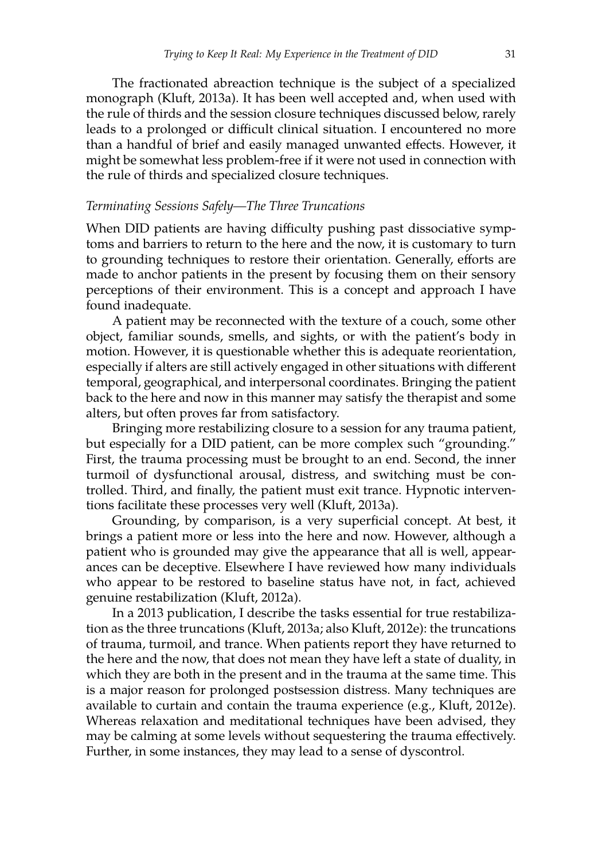The fractionated abreaction technique is the subject of a specialized monograph (Kluft, 2013a). It has been well accepted and, when used with the rule of thirds and the session closure techniques discussed below, rarely leads to a prolonged or difficult clinical situation. I encountered no more than a handful of brief and easily managed unwanted effects. However, it might be somewhat less problem-free if it were not used in connection with the rule of thirds and specialized closure techniques.

#### *Terminating Sessions Safely—The Three Truncations*

When DID patients are having difficulty pushing past dissociative symptoms and barriers to return to the here and the now, it is customary to turn to grounding techniques to restore their orientation. Generally, efforts are made to anchor patients in the present by focusing them on their sensory perceptions of their environment. This is a concept and approach I have found inadequate.

A patient may be reconnected with the texture of a couch, some other object, familiar sounds, smells, and sights, or with the patient's body in motion. However, it is questionable whether this is adequate reorientation, especially if alters are still actively engaged in other situations with different temporal, geographical, and interpersonal coordinates. Bringing the patient back to the here and now in this manner may satisfy the therapist and some alters, but often proves far from satisfactory.

Bringing more restabilizing closure to a session for any trauma patient, but especially for a DID patient, can be more complex such "grounding." First, the trauma processing must be brought to an end. Second, the inner turmoil of dysfunctional arousal, distress, and switching must be controlled. Third, and finally, the patient must exit trance. Hypnotic interventions facilitate these processes very well (Kluft, 2013a).

Grounding, by comparison, is a very superficial concept. At best, it brings a patient more or less into the here and now. However, although a patient who is grounded may give the appearance that all is well, appearances can be deceptive. Elsewhere I have reviewed how many individuals who appear to be restored to baseline status have not, in fact, achieved genuine restabilization (Kluft, 2012a).

In a 2013 publication, I describe the tasks essential for true restabilization as the three truncations (Kluft, 2013a; also Kluft, 2012e): the truncations of trauma, turmoil, and trance. When patients report they have returned to the here and the now, that does not mean they have left a state of duality, in which they are both in the present and in the trauma at the same time. This is a major reason for prolonged postsession distress. Many techniques are available to curtain and contain the trauma experience (e.g., Kluft, 2012e). Whereas relaxation and meditational techniques have been advised, they may be calming at some levels without sequestering the trauma effectively. Further, in some instances, they may lead to a sense of dyscontrol.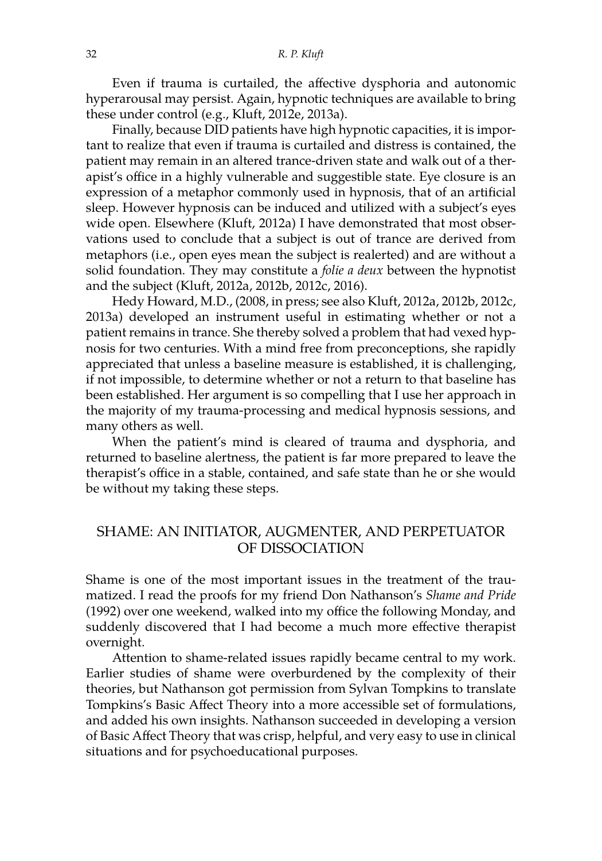Even if trauma is curtailed, the affective dysphoria and autonomic hyperarousal may persist. Again, hypnotic techniques are available to bring these under control (e.g., Kluft, 2012e, 2013a).

Finally, because DID patients have high hypnotic capacities, it is important to realize that even if trauma is curtailed and distress is contained, the patient may remain in an altered trance-driven state and walk out of a therapist's office in a highly vulnerable and suggestible state. Eye closure is an expression of a metaphor commonly used in hypnosis, that of an artificial sleep. However hypnosis can be induced and utilized with a subject's eyes wide open. Elsewhere (Kluft, 2012a) I have demonstrated that most observations used to conclude that a subject is out of trance are derived from metaphors (i.e., open eyes mean the subject is realerted) and are without a solid foundation. They may constitute a *folie a deux* between the hypnotist and the subject (Kluft, 2012a, 2012b, 2012c, 2016).

Hedy Howard, M.D., (2008, in press; see also Kluft, 2012a, 2012b, 2012c, 2013a) developed an instrument useful in estimating whether or not a patient remains in trance. She thereby solved a problem that had vexed hypnosis for two centuries. With a mind free from preconceptions, she rapidly appreciated that unless a baseline measure is established, it is challenging, if not impossible, to determine whether or not a return to that baseline has been established. Her argument is so compelling that I use her approach in the majority of my trauma-processing and medical hypnosis sessions, and many others as well.

When the patient's mind is cleared of trauma and dysphoria, and returned to baseline alertness, the patient is far more prepared to leave the therapist's office in a stable, contained, and safe state than he or she would be without my taking these steps.

# SHAME: AN INITIATOR, AUGMENTER, AND PERPETUATOR OF DISSOCIATION

Shame is one of the most important issues in the treatment of the traumatized. I read the proofs for my friend Don Nathanson's *Shame and Pride* (1992) over one weekend, walked into my office the following Monday, and suddenly discovered that I had become a much more effective therapist overnight.

Attention to shame-related issues rapidly became central to my work. Earlier studies of shame were overburdened by the complexity of their theories, but Nathanson got permission from Sylvan Tompkins to translate Tompkins's Basic Affect Theory into a more accessible set of formulations, and added his own insights. Nathanson succeeded in developing a version of Basic Affect Theory that was crisp, helpful, and very easy to use in clinical situations and for psychoeducational purposes.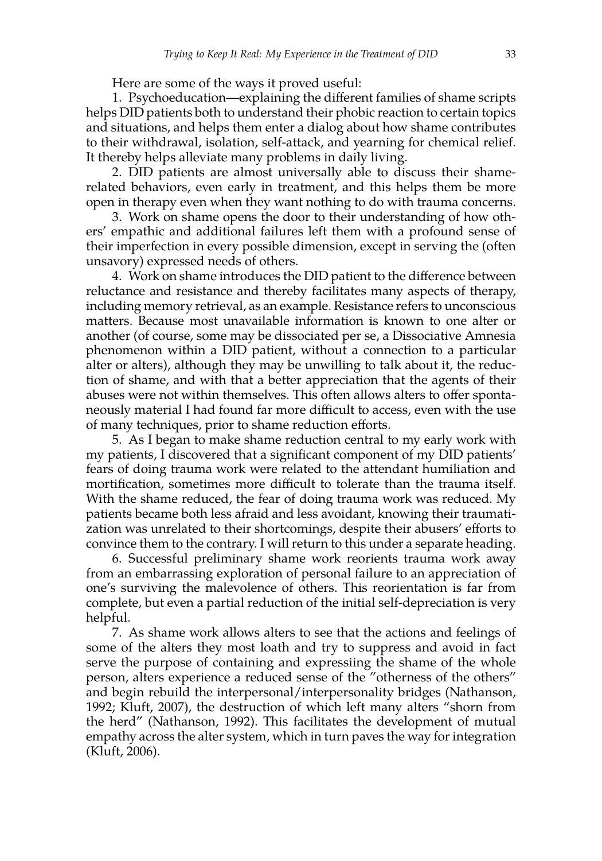Here are some of the ways it proved useful:

1. Psychoeducation—explaining the different families of shame scripts helps DID patients both to understand their phobic reaction to certain topics and situations, and helps them enter a dialog about how shame contributes to their withdrawal, isolation, self-attack, and yearning for chemical relief. It thereby helps alleviate many problems in daily living.

2. DID patients are almost universally able to discuss their shamerelated behaviors, even early in treatment, and this helps them be more open in therapy even when they want nothing to do with trauma concerns.

3. Work on shame opens the door to their understanding of how others' empathic and additional failures left them with a profound sense of their imperfection in every possible dimension, except in serving the (often unsavory) expressed needs of others.

4. Work on shame introduces the DID patient to the difference between reluctance and resistance and thereby facilitates many aspects of therapy, including memory retrieval, as an example. Resistance refers to unconscious matters. Because most unavailable information is known to one alter or another (of course, some may be dissociated per se, a Dissociative Amnesia phenomenon within a DID patient, without a connection to a particular alter or alters), although they may be unwilling to talk about it, the reduction of shame, and with that a better appreciation that the agents of their abuses were not within themselves. This often allows alters to offer spontaneously material I had found far more difficult to access, even with the use of many techniques, prior to shame reduction efforts.

5. As I began to make shame reduction central to my early work with my patients, I discovered that a significant component of my DID patients' fears of doing trauma work were related to the attendant humiliation and mortification, sometimes more difficult to tolerate than the trauma itself. With the shame reduced, the fear of doing trauma work was reduced. My patients became both less afraid and less avoidant, knowing their traumatization was unrelated to their shortcomings, despite their abusers' efforts to convince them to the contrary. I will return to this under a separate heading.

6. Successful preliminary shame work reorients trauma work away from an embarrassing exploration of personal failure to an appreciation of one's surviving the malevolence of others. This reorientation is far from complete, but even a partial reduction of the initial self-depreciation is very helpful.

7. As shame work allows alters to see that the actions and feelings of some of the alters they most loath and try to suppress and avoid in fact serve the purpose of containing and expressiing the shame of the whole person, alters experience a reduced sense of the "otherness of the others" and begin rebuild the interpersonal/interpersonality bridges (Nathanson, 1992; Kluft, 2007), the destruction of which left many alters "shorn from the herd" (Nathanson, 1992). This facilitates the development of mutual empathy across the alter system, which in turn paves the way for integration (Kluft, 2006).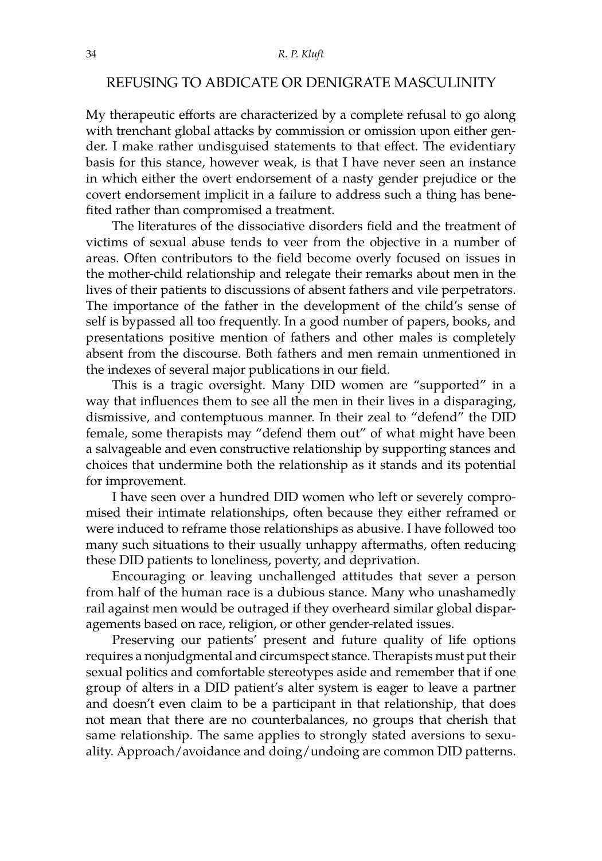### REFUSING TO ABDICATE OR DENIGRATE MASCULINITY

My therapeutic efforts are characterized by a complete refusal to go along with trenchant global attacks by commission or omission upon either gender. I make rather undisguised statements to that effect. The evidentiary basis for this stance, however weak, is that I have never seen an instance in which either the overt endorsement of a nasty gender prejudice or the covert endorsement implicit in a failure to address such a thing has benefited rather than compromised a treatment.

The literatures of the dissociative disorders field and the treatment of victims of sexual abuse tends to veer from the objective in a number of areas. Often contributors to the field become overly focused on issues in the mother-child relationship and relegate their remarks about men in the lives of their patients to discussions of absent fathers and vile perpetrators. The importance of the father in the development of the child's sense of self is bypassed all too frequently. In a good number of papers, books, and presentations positive mention of fathers and other males is completely absent from the discourse. Both fathers and men remain unmentioned in the indexes of several major publications in our field.

This is a tragic oversight. Many DID women are "supported" in a way that influences them to see all the men in their lives in a disparaging, dismissive, and contemptuous manner. In their zeal to "defend" the DID female, some therapists may "defend them out" of what might have been a salvageable and even constructive relationship by supporting stances and choices that undermine both the relationship as it stands and its potential for improvement.

I have seen over a hundred DID women who left or severely compromised their intimate relationships, often because they either reframed or were induced to reframe those relationships as abusive. I have followed too many such situations to their usually unhappy aftermaths, often reducing these DID patients to loneliness, poverty, and deprivation.

Encouraging or leaving unchallenged attitudes that sever a person from half of the human race is a dubious stance. Many who unashamedly rail against men would be outraged if they overheard similar global disparagements based on race, religion, or other gender-related issues.

Preserving our patients' present and future quality of life options requires a nonjudgmental and circumspect stance. Therapists must put their sexual politics and comfortable stereotypes aside and remember that if one group of alters in a DID patient's alter system is eager to leave a partner and doesn't even claim to be a participant in that relationship, that does not mean that there are no counterbalances, no groups that cherish that same relationship. The same applies to strongly stated aversions to sexuality. Approach/avoidance and doing/undoing are common DID patterns.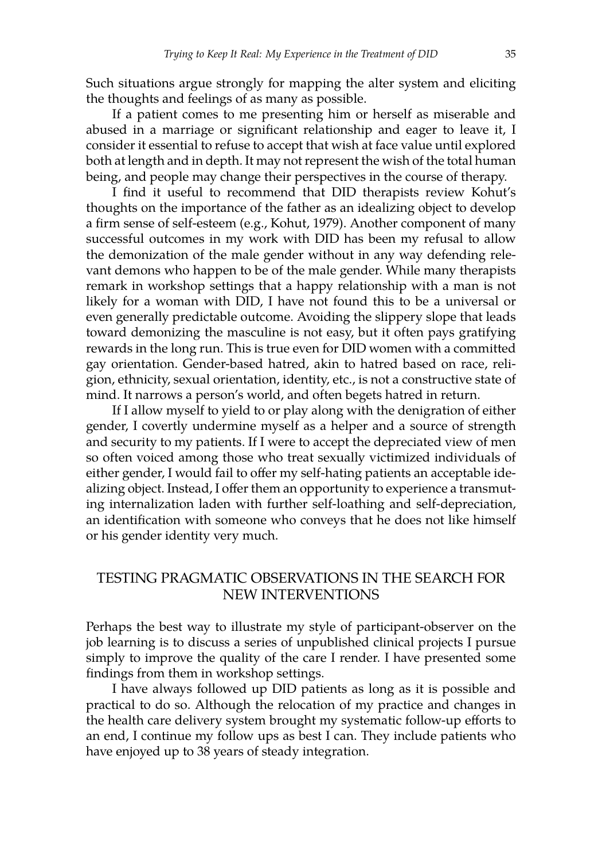Such situations argue strongly for mapping the alter system and eliciting the thoughts and feelings of as many as possible.

If a patient comes to me presenting him or herself as miserable and abused in a marriage or significant relationship and eager to leave it, I consider it essential to refuse to accept that wish at face value until explored both at length and in depth. It may not represent the wish of the total human being, and people may change their perspectives in the course of therapy.

I find it useful to recommend that DID therapists review Kohut's thoughts on the importance of the father as an idealizing object to develop a firm sense of self-esteem (e.g., Kohut, 1979). Another component of many successful outcomes in my work with DID has been my refusal to allow the demonization of the male gender without in any way defending relevant demons who happen to be of the male gender. While many therapists remark in workshop settings that a happy relationship with a man is not likely for a woman with DID, I have not found this to be a universal or even generally predictable outcome. Avoiding the slippery slope that leads toward demonizing the masculine is not easy, but it often pays gratifying rewards in the long run. This is true even for DID women with a committed gay orientation. Gender-based hatred, akin to hatred based on race, religion, ethnicity, sexual orientation, identity, etc., is not a constructive state of mind. It narrows a person's world, and often begets hatred in return.

If I allow myself to yield to or play along with the denigration of either gender, I covertly undermine myself as a helper and a source of strength and security to my patients. If I were to accept the depreciated view of men so often voiced among those who treat sexually victimized individuals of either gender, I would fail to offer my self-hating patients an acceptable idealizing object. Instead, I offer them an opportunity to experience a transmuting internalization laden with further self-loathing and self-depreciation, an identification with someone who conveys that he does not like himself or his gender identity very much.

# TESTING PRAGMATIC OBSERVATIONS IN THE SEARCH FOR NEW INTERVENTIONS

Perhaps the best way to illustrate my style of participant-observer on the job learning is to discuss a series of unpublished clinical projects I pursue simply to improve the quality of the care I render. I have presented some findings from them in workshop settings.

I have always followed up DID patients as long as it is possible and practical to do so. Although the relocation of my practice and changes in the health care delivery system brought my systematic follow-up efforts to an end, I continue my follow ups as best I can. They include patients who have enjoyed up to 38 years of steady integration.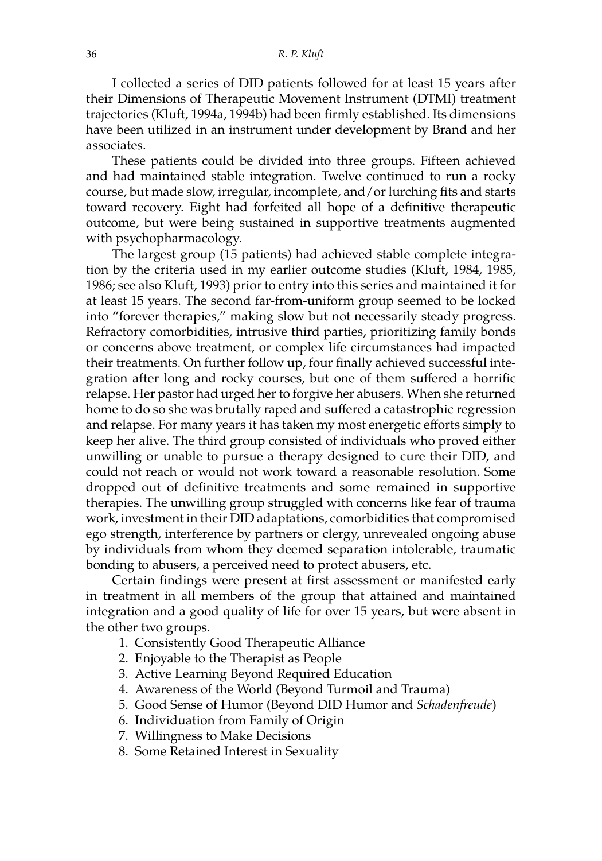I collected a series of DID patients followed for at least 15 years after their Dimensions of Therapeutic Movement Instrument (DTMI) treatment trajectories (Kluft, 1994a, 1994b) had been firmly established. Its dimensions have been utilized in an instrument under development by Brand and her associates.

These patients could be divided into three groups. Fifteen achieved and had maintained stable integration. Twelve continued to run a rocky course, but made slow, irregular, incomplete, and/or lurching fits and starts toward recovery. Eight had forfeited all hope of a definitive therapeutic outcome, but were being sustained in supportive treatments augmented with psychopharmacology.

The largest group (15 patients) had achieved stable complete integration by the criteria used in my earlier outcome studies (Kluft, 1984, 1985, 1986; see also Kluft, 1993) prior to entry into this series and maintained it for at least 15 years. The second far-from-uniform group seemed to be locked into "forever therapies," making slow but not necessarily steady progress. Refractory comorbidities, intrusive third parties, prioritizing family bonds or concerns above treatment, or complex life circumstances had impacted their treatments. On further follow up, four finally achieved successful integration after long and rocky courses, but one of them suffered a horrific relapse. Her pastor had urged her to forgive her abusers. When she returned home to do so she was brutally raped and suffered a catastrophic regression and relapse. For many years it has taken my most energetic efforts simply to keep her alive. The third group consisted of individuals who proved either unwilling or unable to pursue a therapy designed to cure their DID, and could not reach or would not work toward a reasonable resolution. Some dropped out of definitive treatments and some remained in supportive therapies. The unwilling group struggled with concerns like fear of trauma work, investment in their DID adaptations, comorbidities that compromised ego strength, interference by partners or clergy, unrevealed ongoing abuse by individuals from whom they deemed separation intolerable, traumatic bonding to abusers, a perceived need to protect abusers, etc.

Certain findings were present at first assessment or manifested early in treatment in all members of the group that attained and maintained integration and a good quality of life for over 15 years, but were absent in the other two groups.

- 1. Consistently Good Therapeutic Alliance
- 2. Enjoyable to the Therapist as People
- 3. Active Learning Beyond Required Education
- 4. Awareness of the World (Beyond Turmoil and Trauma)
- 5. Good Sense of Humor (Beyond DID Humor and *Schadenfreude*)
- 6. Individuation from Family of Origin
- 7. Willingness to Make Decisions
- 8. Some Retained Interest in Sexuality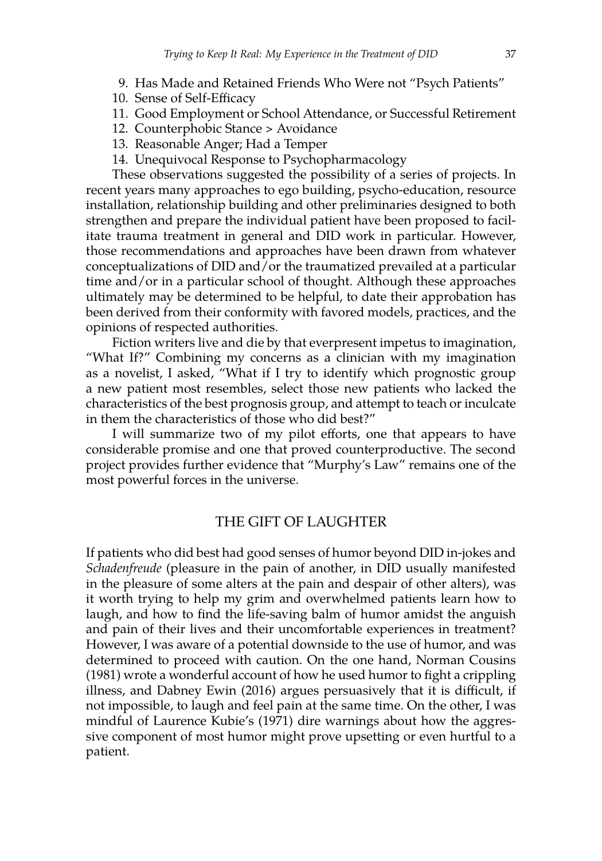- 9. Has Made and Retained Friends Who Were not "Psych Patients"
- 10. Sense of Self-Efficacy
- 11. Good Employment or School Attendance, or Successful Retirement
- 12. Counterphobic Stance > Avoidance
- 13. Reasonable Anger; Had a Temper
- 14. Unequivocal Response to Psychopharmacology

These observations suggested the possibility of a series of projects. In recent years many approaches to ego building, psycho-education, resource installation, relationship building and other preliminaries designed to both strengthen and prepare the individual patient have been proposed to facilitate trauma treatment in general and DID work in particular. However, those recommendations and approaches have been drawn from whatever conceptualizations of DID and/or the traumatized prevailed at a particular time and/or in a particular school of thought. Although these approaches ultimately may be determined to be helpful, to date their approbation has been derived from their conformity with favored models, practices, and the opinions of respected authorities.

Fiction writers live and die by that everpresent impetus to imagination, "What If?" Combining my concerns as a clinician with my imagination as a novelist, I asked, "What if I try to identify which prognostic group a new patient most resembles, select those new patients who lacked the characteristics of the best prognosis group, and attempt to teach or inculcate in them the characteristics of those who did best?"

I will summarize two of my pilot efforts, one that appears to have considerable promise and one that proved counterproductive. The second project provides further evidence that "Murphy's Law" remains one of the most powerful forces in the universe.

## THE GIFT OF LAUGHTER

If patients who did best had good senses of humor beyond DID in-jokes and *Schadenfreude* (pleasure in the pain of another, in DID usually manifested in the pleasure of some alters at the pain and despair of other alters), was it worth trying to help my grim and overwhelmed patients learn how to laugh, and how to find the life-saving balm of humor amidst the anguish and pain of their lives and their uncomfortable experiences in treatment? However, I was aware of a potential downside to the use of humor, and was determined to proceed with caution. On the one hand, Norman Cousins (1981) wrote a wonderful account of how he used humor to fight a crippling illness, and Dabney Ewin (2016) argues persuasively that it is difficult, if not impossible, to laugh and feel pain at the same time. On the other, I was mindful of Laurence Kubie's (1971) dire warnings about how the aggressive component of most humor might prove upsetting or even hurtful to a patient.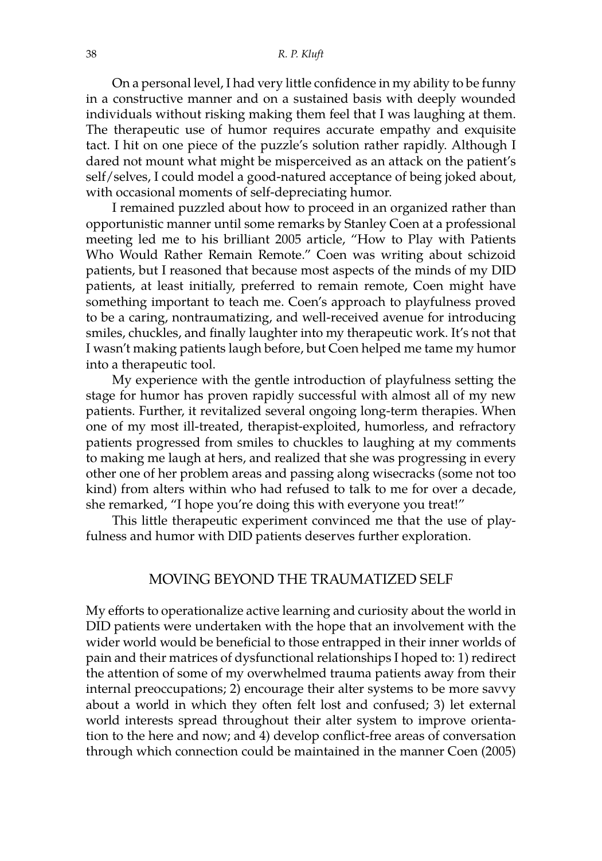On a personal level, I had very little confidence in my ability to be funny in a constructive manner and on a sustained basis with deeply wounded individuals without risking making them feel that I was laughing at them. The therapeutic use of humor requires accurate empathy and exquisite tact. I hit on one piece of the puzzle's solution rather rapidly. Although I dared not mount what might be misperceived as an attack on the patient's self/selves, I could model a good-natured acceptance of being joked about, with occasional moments of self-depreciating humor.

I remained puzzled about how to proceed in an organized rather than opportunistic manner until some remarks by Stanley Coen at a professional meeting led me to his brilliant 2005 article, "How to Play with Patients Who Would Rather Remain Remote." Coen was writing about schizoid patients, but I reasoned that because most aspects of the minds of my DID patients, at least initially, preferred to remain remote, Coen might have something important to teach me. Coen's approach to playfulness proved to be a caring, nontraumatizing, and well-received avenue for introducing smiles, chuckles, and finally laughter into my therapeutic work. It's not that I wasn't making patients laugh before, but Coen helped me tame my humor into a therapeutic tool.

My experience with the gentle introduction of playfulness setting the stage for humor has proven rapidly successful with almost all of my new patients. Further, it revitalized several ongoing long-term therapies. When one of my most ill-treated, therapist-exploited, humorless, and refractory patients progressed from smiles to chuckles to laughing at my comments to making me laugh at hers, and realized that she was progressing in every other one of her problem areas and passing along wisecracks (some not too kind) from alters within who had refused to talk to me for over a decade, she remarked, "I hope you're doing this with everyone you treat!"

This little therapeutic experiment convinced me that the use of playfulness and humor with DID patients deserves further exploration.

#### MOVING BEYOND THE TRAUMATIZED SELF

My efforts to operationalize active learning and curiosity about the world in DID patients were undertaken with the hope that an involvement with the wider world would be beneficial to those entrapped in their inner worlds of pain and their matrices of dysfunctional relationships I hoped to: 1) redirect the attention of some of my overwhelmed trauma patients away from their internal preoccupations; 2) encourage their alter systems to be more savvy about a world in which they often felt lost and confused; 3) let external world interests spread throughout their alter system to improve orientation to the here and now; and 4) develop conflict-free areas of conversation through which connection could be maintained in the manner Coen (2005)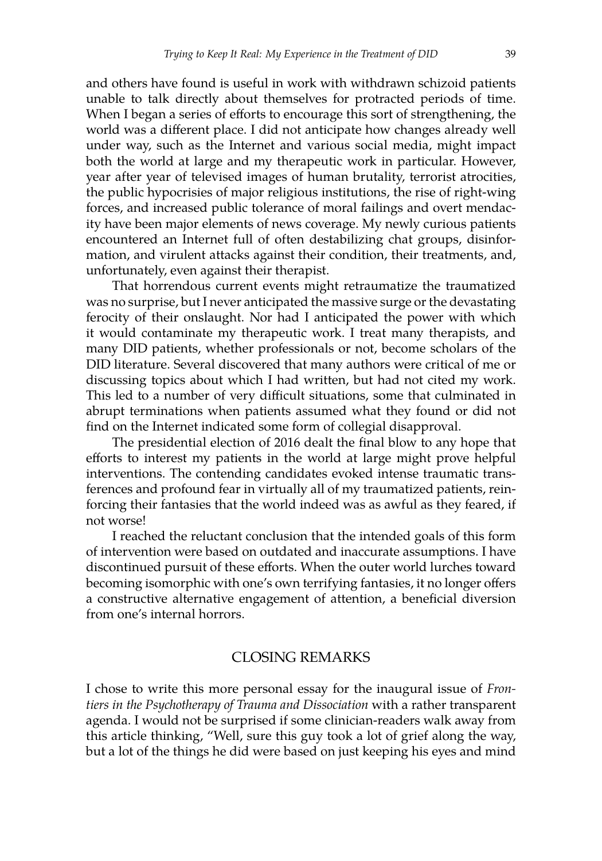and others have found is useful in work with withdrawn schizoid patients unable to talk directly about themselves for protracted periods of time. When I began a series of efforts to encourage this sort of strengthening, the world was a different place. I did not anticipate how changes already well under way, such as the Internet and various social media, might impact both the world at large and my therapeutic work in particular. However, year after year of televised images of human brutality, terrorist atrocities, the public hypocrisies of major religious institutions, the rise of right-wing forces, and increased public tolerance of moral failings and overt mendacity have been major elements of news coverage. My newly curious patients encountered an Internet full of often destabilizing chat groups, disinformation, and virulent attacks against their condition, their treatments, and, unfortunately, even against their therapist.

That horrendous current events might retraumatize the traumatized was no surprise, but I never anticipated the massive surge or the devastating ferocity of their onslaught. Nor had I anticipated the power with which it would contaminate my therapeutic work. I treat many therapists, and many DID patients, whether professionals or not, become scholars of the DID literature. Several discovered that many authors were critical of me or discussing topics about which I had written, but had not cited my work. This led to a number of very difficult situations, some that culminated in abrupt terminations when patients assumed what they found or did not find on the Internet indicated some form of collegial disapproval.

The presidential election of 2016 dealt the final blow to any hope that efforts to interest my patients in the world at large might prove helpful interventions. The contending candidates evoked intense traumatic transferences and profound fear in virtually all of my traumatized patients, reinforcing their fantasies that the world indeed was as awful as they feared, if not worse!

I reached the reluctant conclusion that the intended goals of this form of intervention were based on outdated and inaccurate assumptions. I have discontinued pursuit of these efforts. When the outer world lurches toward becoming isomorphic with one's own terrifying fantasies, it no longer offers a constructive alternative engagement of attention, a beneficial diversion from one's internal horrors.

#### CLOSING REMARKS

I chose to write this more personal essay for the inaugural issue of *Frontiers in the Psychotherapy of Trauma and Dissociation* with a rather transparent agenda. I would not be surprised if some clinician-readers walk away from this article thinking, "Well, sure this guy took a lot of grief along the way, but a lot of the things he did were based on just keeping his eyes and mind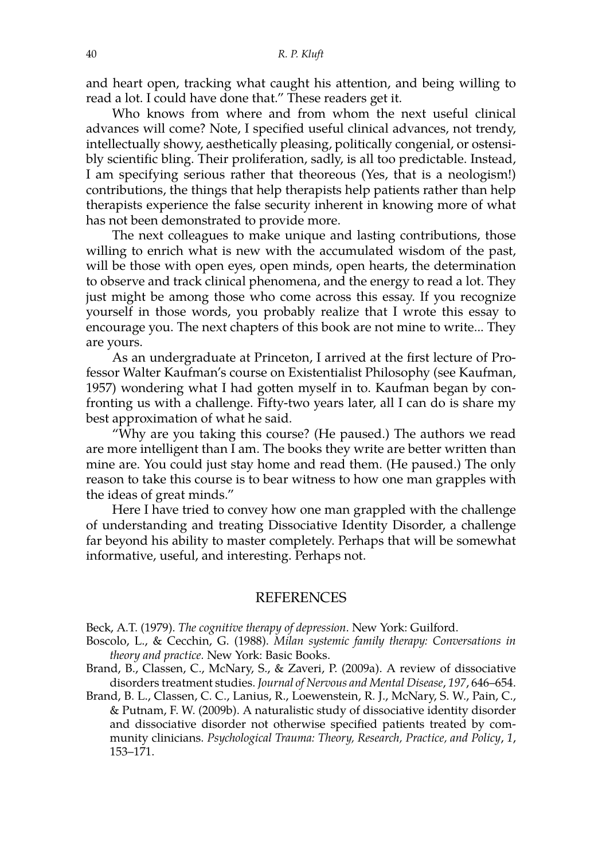and heart open, tracking what caught his attention, and being willing to read a lot. I could have done that." These readers get it.

Who knows from where and from whom the next useful clinical advances will come? Note, I specified useful clinical advances, not trendy, intellectually showy, aesthetically pleasing, politically congenial, or ostensibly scientific bling. Their proliferation, sadly, is all too predictable. Instead, I am specifying serious rather that theoreous (Yes, that is a neologism!) contributions, the things that help therapists help patients rather than help therapists experience the false security inherent in knowing more of what has not been demonstrated to provide more.

The next colleagues to make unique and lasting contributions, those willing to enrich what is new with the accumulated wisdom of the past, will be those with open eyes, open minds, open hearts, the determination to observe and track clinical phenomena, and the energy to read a lot. They just might be among those who come across this essay. If you recognize yourself in those words, you probably realize that I wrote this essay to encourage you. The next chapters of this book are not mine to write... They are yours.

As an undergraduate at Princeton, I arrived at the first lecture of Professor Walter Kaufman's course on Existentialist Philosophy (see Kaufman, 1957) wondering what I had gotten myself in to. Kaufman began by confronting us with a challenge. Fifty-two years later, all I can do is share my best approximation of what he said.

"Why are you taking this course? (He paused.) The authors we read are more intelligent than I am. The books they write are better written than mine are. You could just stay home and read them. (He paused.) The only reason to take this course is to bear witness to how one man grapples with the ideas of great minds."

Here I have tried to convey how one man grappled with the challenge of understanding and treating Dissociative Identity Disorder, a challenge far beyond his ability to master completely. Perhaps that will be somewhat informative, useful, and interesting. Perhaps not.

#### REFERENCES

Beck, A.T. (1979). *The cognitive therapy of depression*. New York: Guilford.

- Boscolo, L., & Cecchin, G. (1988). *Milan systemic family therapy: Conversations in theory and practice.* New York: Basic Books.
- Brand, B., Classen, C., McNary, S., & Zaveri, P. (2009a). A review of dissociative disorders treatment studies. *Journal of Nervous and Mental Disease*, *197*, 646–654.
- Brand, B. L., Classen, C. C., Lanius, R., Loewenstein, R. J., McNary, S. W., Pain, C., & Putnam, F. W. (2009b). A naturalistic study of dissociative identity disorder and dissociative disorder not otherwise specified patients treated by community clinicians. *Psychological Trauma: Theory, Research, Practice, and Policy*, *1*, 153–171.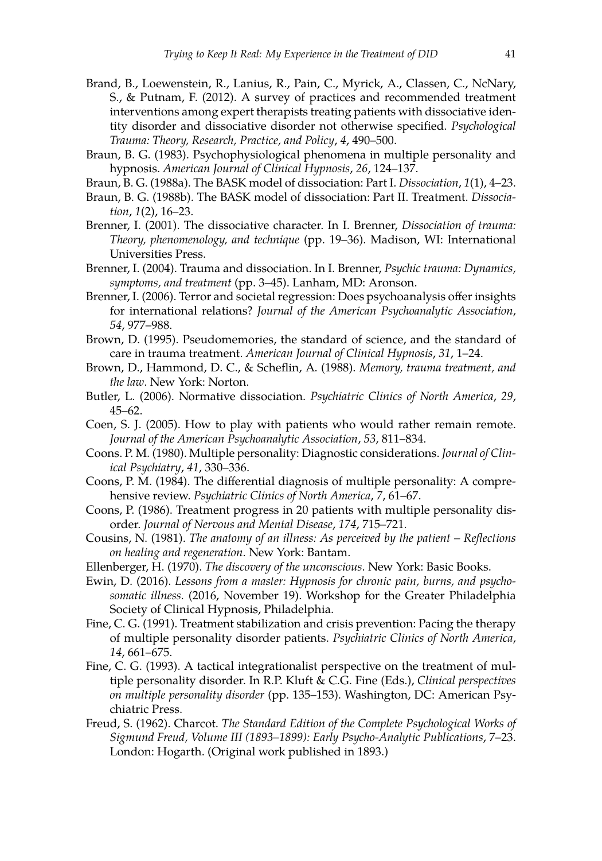- Brand, B., Loewenstein, R., Lanius, R., Pain, C., Myrick, A., Classen, C., NcNary, S., & Putnam, F. (2012). A survey of practices and recommended treatment interventions among expert therapists treating patients with dissociative identity disorder and dissociative disorder not otherwise specified. *Psychological Trauma: Theory, Research, Practice, and Policy*, *4*, 490–500.
- Braun, B. G. (1983). Psychophysiological phenomena in multiple personality and hypnosis. *American Journal of Clinical Hypnosis*, *26*, 124–137.
- Braun, B. G. (1988a). The BASK model of dissociation: Part I. *Dissociation*, *1*(1), 4–23.
- Braun, B. G. (1988b). The BASK model of dissociation: Part II. Treatment. *Dissociation*, *1*(2), 16–23.
- Brenner, I. (2001). The dissociative character. In I. Brenner, *Dissociation of trauma: Theory, phenomenology, and technique* (pp. 19–36). Madison, WI: International Universities Press.
- Brenner, I. (2004). Trauma and dissociation. In I. Brenner, *Psychic trauma: Dynamics, symptoms, and treatment* (pp. 3–45). Lanham, MD: Aronson.
- Brenner, I. (2006). Terror and societal regression: Does psychoanalysis offer insights for international relations? *Journal of the American Psychoanalytic Association*, *54*, 977–988.
- Brown, D. (1995). Pseudomemories, the standard of science, and the standard of care in trauma treatment. *American Journal of Clinical Hypnosis*, *31*, 1–24.
- Brown, D., Hammond, D. C., & Scheflin, A. (1988). *Memory, trauma treatment, and the law*. New York: Norton.
- Butler, L. (2006). Normative dissociation. *Psychiatric Clinics of North America*, *29*, 45–62.
- Coen, S. J. (2005). How to play with patients who would rather remain remote. *Journal of the American Psychoanalytic Association*, *53*, 811–834.
- Coons. P. M. (1980). Multiple personality: Diagnostic considerations. *Journal of Clinical Psychiatry*, *41*, 330–336.
- Coons, P. M. (1984). The differential diagnosis of multiple personality: A comprehensive review. *Psychiatric Clinics of North America*, *7*, 61–67.
- Coons, P. (1986). Treatment progress in 20 patients with multiple personality disorder. *Journal of Nervous and Mental Disease*, *174*, 715–721.
- Cousins, N. (1981). *The anatomy of an illness: As perceived by the patient Reflections on healing and regeneration*. New York: Bantam.
- Ellenberger, H. (1970). *The discovery of the unconscious*. New York: Basic Books.
- Ewin, D. (2016). *Lessons from a master: Hypnosis for chronic pain, burns, and psychosomatic illness.* (2016, November 19). Workshop for the Greater Philadelphia Society of Clinical Hypnosis, Philadelphia.
- Fine, C. G. (1991). Treatment stabilization and crisis prevention: Pacing the therapy of multiple personality disorder patients. *Psychiatric Clinics of North America*, *14*, 661–675.
- Fine, C. G. (1993). A tactical integrationalist perspective on the treatment of multiple personality disorder. In R.P. Kluft & C.G. Fine (Eds.), *Clinical perspectives on multiple personality disorder* (pp. 135–153). Washington, DC: American Psychiatric Press.
- Freud, S. (1962). Charcot. *The Standard Edition of the Complete Psychological Works of Sigmund Freud, Volume III (1893–1899): Early Psycho-Analytic Publications*, 7–23. London: Hogarth. (Original work published in 1893.)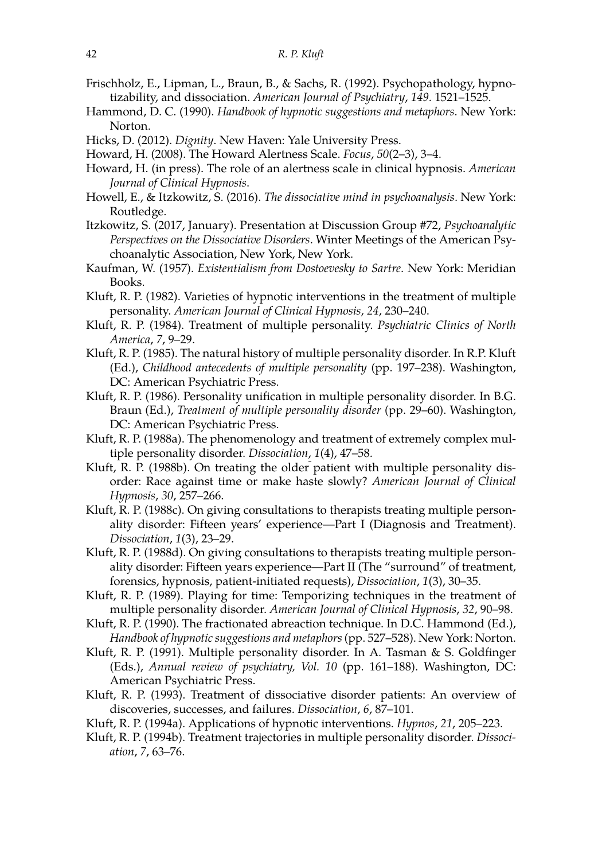- Frischholz, E., Lipman, L., Braun, B., & Sachs, R. (1992). Psychopathology, hypnotizability, and dissociation. *American Journal of Psychiatry*, *149*. 1521–1525.
- Hammond, D. C. (1990). *Handbook of hypnotic suggestions and metaphors*. New York: Norton.
- Hicks, D. (2012). *Dignity*. New Haven: Yale University Press.
- Howard, H. (2008). The Howard Alertness Scale. *Focus*, *50*(2–3), 3–4.
- Howard, H. (in press). The role of an alertness scale in clinical hypnosis. *American Journal of Clinical Hypnosis*.
- Howell, E., & Itzkowitz, S. (2016). *The dissociative mind in psychoanalysis*. New York: Routledge.
- Itzkowitz, S. (2017, January). Presentation at Discussion Group #72, *Psychoanalytic Perspectives on the Dissociative Disorders*. Winter Meetings of the American Psychoanalytic Association, New York, New York.
- Kaufman, W. (1957). *Existentialism from Dostoevesky to Sartre*. New York: Meridian Books.
- Kluft, R. P. (1982). Varieties of hypnotic interventions in the treatment of multiple personality. *American Journal of Clinical Hypnosis*, *24*, 230–240.
- Kluft, R. P. (1984). Treatment of multiple personality. *Psychiatric Clinics of North America*, *7*, 9–29.
- Kluft, R. P. (1985). The natural history of multiple personality disorder. In R.P. Kluft (Ed.), *Childhood antecedents of multiple personality* (pp. 197–238). Washington, DC: American Psychiatric Press.
- Kluft, R. P. (1986). Personality unification in multiple personality disorder. In B.G. Braun (Ed.), *Treatment of multiple personality disorder* (pp. 29–60). Washington, DC: American Psychiatric Press.
- Kluft, R. P. (1988a). The phenomenology and treatment of extremely complex multiple personality disorder. *Dissociation*, *1*(4), 47–58.
- Kluft, R. P. (1988b). On treating the older patient with multiple personality disorder: Race against time or make haste slowly? *American Journal of Clinical Hypnosis*, *30*, 257–266.
- Kluft, R. P. (1988c). On giving consultations to therapists treating multiple personality disorder: Fifteen years' experience—Part I (Diagnosis and Treatment). *Dissociation*, *1*(3), 23–29.
- Kluft, R. P. (1988d). On giving consultations to therapists treating multiple personality disorder: Fifteen years experience—Part II (The "surround" of treatment, forensics, hypnosis, patient-initiated requests), *Dissociation*, *1*(3), 30–35.
- Kluft, R. P. (1989). Playing for time: Temporizing techniques in the treatment of multiple personality disorder. *American Journal of Clinical Hypnosis*, *32*, 90–98.
- Kluft, R. P. (1990). The fractionated abreaction technique. In D.C. Hammond (Ed.), *Handbook of hypnotic suggestions and metaphors*(pp. 527–528). New York: Norton.
- Kluft, R. P. (1991). Multiple personality disorder. In A. Tasman & S. Goldfinger (Eds.), *Annual review of psychiatry, Vol. 10* (pp. 161–188). Washington, DC: American Psychiatric Press.
- Kluft, R. P. (1993). Treatment of dissociative disorder patients: An overview of discoveries, successes, and failures. *Dissociation*, *6*, 87–101.
- Kluft, R. P. (1994a). Applications of hypnotic interventions. *Hypnos*, *21*, 205–223.
- Kluft, R. P. (1994b). Treatment trajectories in multiple personality disorder. *Dissociation*, *7*, 63–76.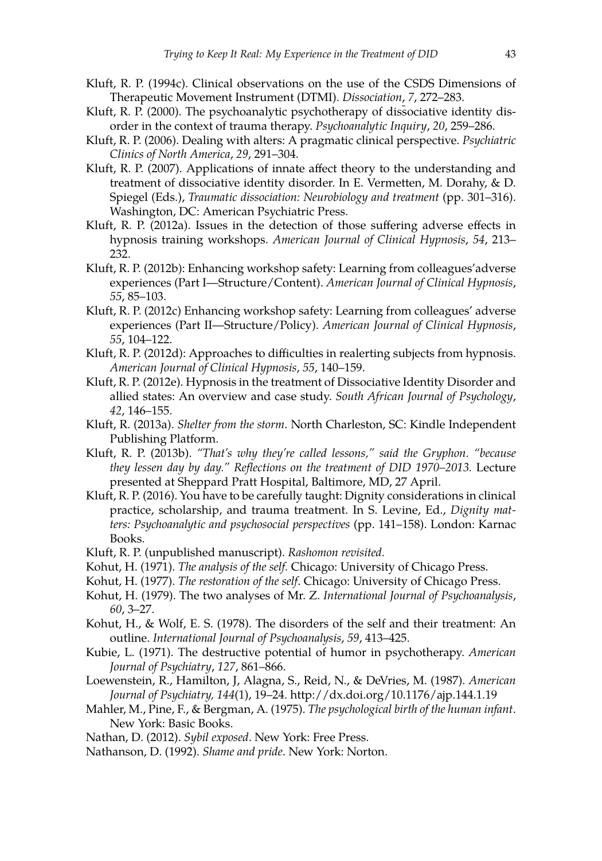- Kluft, R. P. (1994c). Clinical observations on the use of the CSDS Dimensions of Therapeutic Movement Instrument (DTMI). *Dissociation*, *7*, 272–283.
- Kluft, R. P. (2000). The psychoanalytic psychotherapy of dissociative identity disorder in the context of trauma therapy. *Psychoanalytic Inquiry*, *20*, 259–286.
- Kluft, R. P. (2006). Dealing with alters: A pragmatic clinical perspective. *Psychiatric Clinics of North America*, *29*, 291–304.
- Kluft, R. P. (2007). Applications of innate affect theory to the understanding and treatment of dissociative identity disorder. In E. Vermetten, M. Dorahy, & D. Spiegel (Eds.), *Traumatic dissociation: Neurobiology and treatment* (pp. 301–316). Washington, DC: American Psychiatric Press.
- Kluft, R. P. (2012a). Issues in the detection of those suffering adverse effects in hypnosis training workshops. *American Journal of Clinical Hypnosis*, *54*, 213– 232.
- Kluft, R. P. (2012b): Enhancing workshop safety: Learning from colleagues'adverse experiences (Part I—Structure/Content). *American Journal of Clinical Hypnosis*, *55*, 85–103.
- Kluft, R. P. (2012c) Enhancing workshop safety: Learning from colleagues' adverse experiences (Part II—Structure/Policy). *American Journal of Clinical Hypnosis*, *55*, 104–122.
- Kluft, R. P. (2012d): Approaches to difficulties in realerting subjects from hypnosis. *American Journal of Clinical Hypnosis*, *55*, 140–159.
- Kluft, R. P. (2012e). Hypnosis in the treatment of Dissociative Identity Disorder and allied states: An overview and case study. *South African Journal of Psychology*, *42*, 146–155.
- Kluft, R. (2013a). *Shelter from the storm*. North Charleston, SC: Kindle Independent Publishing Platform.
- Kluft, R. P. (2013b). *"That's why they're called lessons," said the Gryphon. "because they lessen day by day." Reflections on the treatment of DID 1970–2013.* Lecture presented at Sheppard Pratt Hospital, Baltimore, MD, 27 April.
- Kluft, R. P. (2016). You have to be carefully taught: Dignity considerations in clinical practice, scholarship, and trauma treatment. In S. Levine, Ed., *Dignity matters: Psychoanalytic and psychosocial perspectives* (pp. 141–158). London: Karnac Books.
- Kluft, R. P. (unpublished manuscript). *Rashomon revisited.*
- Kohut, H. (1971). *The analysis of the self.* Chicago: University of Chicago Press.
- Kohut, H. (1977). *The restoration of the self*. Chicago: University of Chicago Press.
- Kohut, H. (1979). The two analyses of Mr. Z. *International Journal of Psychoanalysis*, *60*, 3–27.
- Kohut, H., & Wolf, E. S. (1978). The disorders of the self and their treatment: An outline. *International Journal of Psychoanalysis*, *59*, 413–425.
- Kubie, L. (1971). The destructive potential of humor in psychotherapy. *American Journal of Psychiatry*, *127*, 861–866.
- Loewenstein, R., Hamilton, J, Alagna, S., Reid, N., & DeVries, M. (1987). *American Journal of Psychiatry, 144*(1), 19–24. http://dx.doi.org/10.1176/ajp.144.1.19
- Mahler, M., Pine, F., & Bergman, A. (1975). *The psychological birth of the human infant*. New York: Basic Books.
- Nathan, D. (2012). *Sybil exposed*. New York: Free Press.
- Nathanson, D. (1992). *Shame and pride*. New York: Norton.